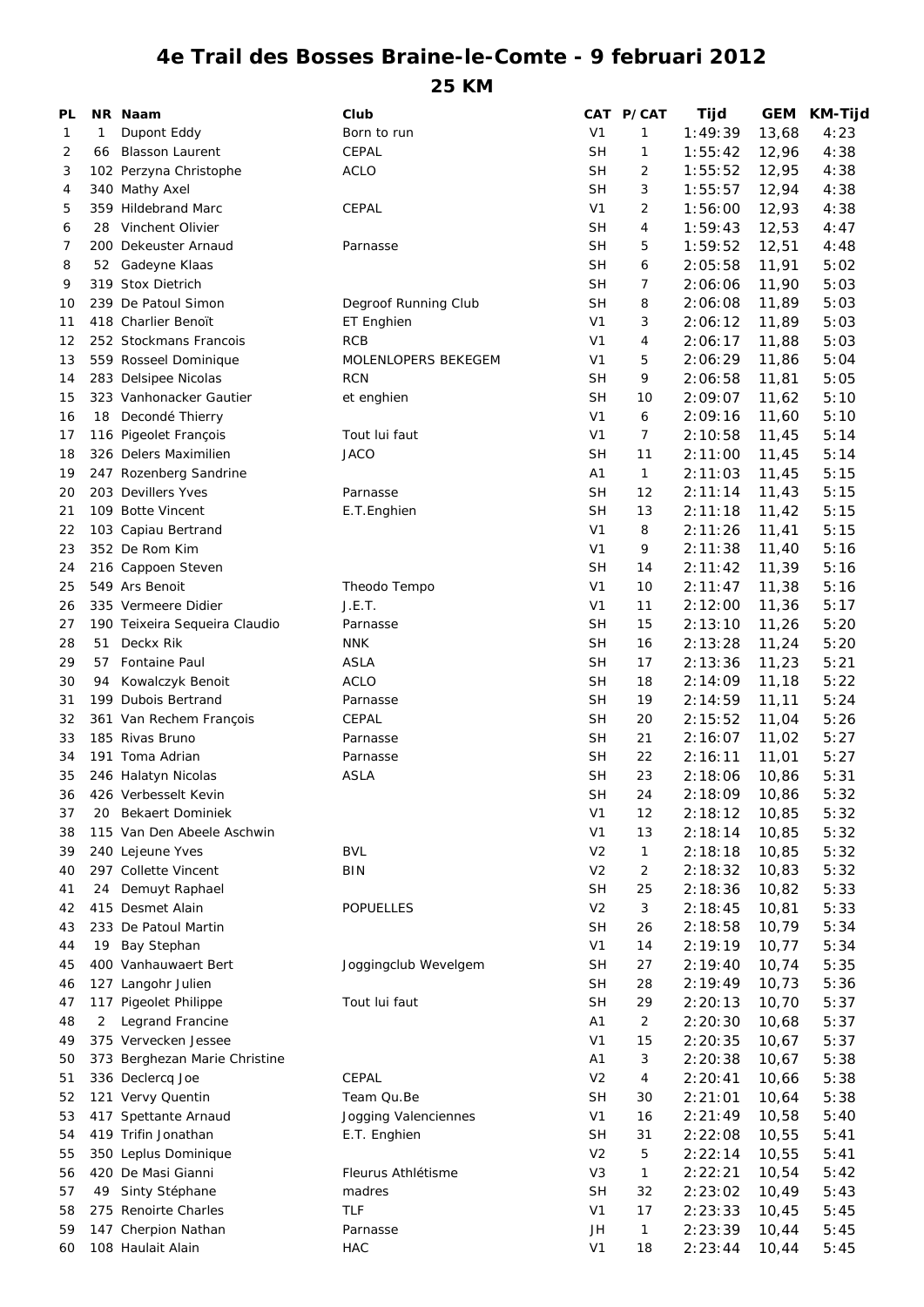## **4e Trail des Bosses Braine-le-Comte - 9 februari 2012**

**25 KM**

| PL |                | NR Naam                       | Club                 |                | CAT P/CAT      | <b>Tijd</b> | GEM   | KM-Tijd |
|----|----------------|-------------------------------|----------------------|----------------|----------------|-------------|-------|---------|
| 1  | 1              | Dupont Eddy                   | Born to run          | V <sub>1</sub> | 1              | 1:49:39     | 13,68 | 4:23    |
| 2  | 66             | <b>Blasson Laurent</b>        | CEPAL                | <b>SH</b>      | 1              | 1:55:42     | 12,96 | 4:38    |
| 3  |                | 102 Perzyna Christophe        | <b>ACLO</b>          | <b>SH</b>      | 2              | 1:55:52     | 12,95 | 4:38    |
| 4  |                | 340 Mathy Axel                |                      | <b>SH</b>      | 3              | 1:55:57     | 12,94 | 4:38    |
| 5  |                | 359 Hildebrand Marc           | CEPAL                | V <sub>1</sub> | 2              | 1:56:00     | 12,93 | 4:38    |
| 6  | 28             | Vinchent Olivier              |                      | <b>SH</b>      | 4              | 1:59:43     | 12,53 | 4:47    |
| 7  |                | 200 Dekeuster Arnaud          | Parnasse             | <b>SH</b>      | 5              | 1:59:52     | 12,51 | 4:48    |
| 8  |                | 52 Gadeyne Klaas              |                      | <b>SH</b>      | 6              | 2:05:58     | 11,91 | 5:02    |
| 9  |                | 319 Stox Dietrich             |                      | <b>SH</b>      | 7              | 2:06:06     | 11,90 | 5:03    |
| 10 |                | 239 De Patoul Simon           | Degroof Running Club | <b>SH</b>      | 8              | 2:06:08     | 11,89 | 5:03    |
| 11 |                | 418 Charlier Benoït           | ET Enghien           | V <sub>1</sub> | 3              | 2:06:12     | 11,89 | 5:03    |
| 12 |                | 252 Stockmans Francois        | <b>RCB</b>           | V1             | 4              | 2:06:17     | 11,88 | 5:03    |
| 13 |                | 559 Rosseel Dominique         | MOLENLOPERS BEKEGEM  | V <sub>1</sub> | 5              | 2:06:29     | 11,86 | 5:04    |
| 14 |                | 283 Delsipee Nicolas          | <b>RCN</b>           | SΗ             | 9              | 2:06:58     | 11,81 | 5:05    |
| 15 |                | 323 Vanhonacker Gautier       | et enghien           | <b>SH</b>      | 10             | 2:09:07     | 11,62 | 5:10    |
| 16 | 18             | Decondé Thierry               |                      | V <sub>1</sub> | 6              | 2:09:16     | 11,60 | 5:10    |
| 17 |                | 116 Pigeolet François         | Tout lui faut        | V <sub>1</sub> | 7              | 2:10:58     | 11,45 | 5:14    |
| 18 |                | 326 Delers Maximilien         | <b>JACO</b>          | <b>SH</b>      | 11             | 2:11:00     | 11,45 | 5:14    |
| 19 |                | 247 Rozenberg Sandrine        |                      | Α1             | $\mathbf{1}$   | 2:11:03     | 11,45 | 5:15    |
| 20 |                | 203 Devillers Yves            | Parnasse             | <b>SH</b>      | 12             | 2:11:14     | 11,43 | 5:15    |
| 21 |                | 109 Botte Vincent             | E.T.Enghien          | <b>SH</b>      | 13             | 2:11:18     | 11,42 | 5:15    |
| 22 |                | 103 Capiau Bertrand           |                      | V <sub>1</sub> | 8              | 2:11:26     | 11,41 | 5:15    |
| 23 |                | 352 De Rom Kim                |                      | V <sub>1</sub> | 9              |             |       | 5:16    |
|    |                |                               |                      | <b>SH</b>      |                | 2:11:38     | 11,40 |         |
| 24 |                | 216 Cappoen Steven            |                      |                | 14             | 2:11:42     | 11,39 | 5:16    |
| 25 |                | 549 Ars Benoit                | Theodo Tempo         | V <sub>1</sub> | 10             | 2:11:47     | 11,38 | 5:16    |
| 26 |                | 335 Vermeere Didier           | J.E.T.               | V <sub>1</sub> | 11             | 2:12:00     | 11,36 | 5:17    |
| 27 |                | 190 Teixeira Sequeira Claudio | Parnasse             | <b>SH</b>      | 15             | 2:13:10     | 11,26 | 5:20    |
| 28 | 51             | Deckx Rik                     | <b>NNK</b>           | <b>SH</b>      | 16             | 2:13:28     | 11,24 | 5:20    |
| 29 | 57             | <b>Fontaine Paul</b>          | <b>ASLA</b>          | <b>SH</b>      | 17             | 2:13:36     | 11,23 | 5:21    |
| 30 | 94             | Kowalczyk Benoit              | <b>ACLO</b>          | <b>SH</b>      | 18             | 2:14:09     | 11,18 | 5:22    |
| 31 |                | 199 Dubois Bertrand           | Parnasse             | <b>SH</b>      | 19             | 2:14:59     | 11,11 | 5:24    |
| 32 |                | 361 Van Rechem François       | CEPAL                | <b>SH</b>      | 20             | 2:15:52     | 11,04 | 5:26    |
| 33 |                | 185 Rivas Bruno               | Parnasse             | <b>SH</b>      | 21             | 2:16:07     | 11,02 | 5:27    |
| 34 |                | 191 Toma Adrian               | Parnasse             | <b>SH</b>      | 22             | 2:16:11     | 11,01 | 5:27    |
| 35 |                | 246 Halatyn Nicolas           | <b>ASLA</b>          | <b>SH</b>      | 23             | 2:18:06     | 10,86 | 5:31    |
| 36 |                | 426 Verbesselt Kevin          |                      | <b>SH</b>      | 24             | 2:18:09     | 10,86 | 5:32    |
| 37 | 20             | <b>Bekaert Dominiek</b>       |                      | V1             | 12             | 2:18:12     | 10,85 | 5:32    |
| 38 |                | 115 Van Den Abeele Aschwin    |                      | V <sub>1</sub> | 13             | 2:18:14     | 10,85 | 5:32    |
| 39 |                | 240 Lejeune Yves              | <b>BVL</b>           | V <sub>2</sub> | $\mathbf{1}$   | 2:18:18     | 10,85 | 5:32    |
| 40 |                | 297 Collette Vincent          | <b>BIN</b>           | V <sub>2</sub> | 2              | 2:18:32     | 10,83 | 5:32    |
| 41 | 24             | Demuyt Raphael                |                      | <b>SH</b>      | 25             | 2:18:36     | 10,82 | 5:33    |
| 42 |                | 415 Desmet Alain              | <b>POPUELLES</b>     | V <sub>2</sub> | 3              | 2:18:45     | 10,81 | 5:33    |
| 43 |                | 233 De Patoul Martin          |                      | <b>SH</b>      | 26             | 2:18:58     | 10,79 | 5:34    |
| 44 | 19             | Bay Stephan                   |                      | V <sub>1</sub> | 14             | 2:19:19     | 10,77 | 5:34    |
| 45 |                | 400 Vanhauwaert Bert          | Joggingclub Wevelgem | <b>SH</b>      | 27             | 2:19:40     | 10,74 | 5:35    |
| 46 |                | 127 Langohr Julien            |                      | <b>SH</b>      | 28             | 2:19:49     | 10,73 | 5:36    |
| 47 |                | 117 Pigeolet Philippe         | Tout lui faut        | <b>SH</b>      | 29             | 2:20:13     | 10,70 | 5:37    |
| 48 | $\overline{2}$ | Legrand Francine              |                      | Α1             | $\overline{2}$ | 2:20:30     | 10,68 | 5:37    |
| 49 |                | 375 Vervecken Jessee          |                      | V <sub>1</sub> | 15             | 2:20:35     | 10,67 | 5:37    |
| 50 |                | 373 Berghezan Marie Christine |                      | Α1             | 3              | 2:20:38     | 10,67 | 5:38    |
| 51 |                | 336 Declercq Joe              | CEPAL                | V2             | 4              | 2:20:41     | 10,66 | 5:38    |
| 52 |                | 121 Vervy Quentin             | Team Qu.Be           | SН             | 30             | 2:21:01     | 10,64 | 5:38    |
| 53 |                | 417 Spettante Arnaud          | Jogging Valenciennes | V <sub>1</sub> | 16             | 2:21:49     | 10,58 | 5:40    |
| 54 |                | 419 Trifin Jonathan           | E.T. Enghien         | SН             | 31             | 2:22:08     | 10,55 | 5:41    |
| 55 |                | 350 Leplus Dominique          |                      | V <sub>2</sub> | 5              | 2:22:14     | 10,55 | 5:41    |
| 56 |                | 420 De Masi Gianni            | Fleurus Athlétisme   | V <sub>3</sub> | 1              | 2:22:21     | 10,54 | 5:42    |
| 57 | 49             | Sinty Stéphane                | madres               | SН             | 32             | 2:23:02     | 10,49 | 5:43    |
| 58 |                | 275 Renoirte Charles          | <b>TLF</b>           | V <sub>1</sub> | 17             | 2:23:33     | 10,45 | 5:45    |
| 59 |                | 147 Cherpion Nathan           | Parnasse             | JH             | $\mathbf{1}$   | 2:23:39     | 10,44 | 5:45    |
| 60 |                | 108 Haulait Alain             | <b>HAC</b>           | V <sub>1</sub> | 18             | 2:23:44     | 10,44 | 5:45    |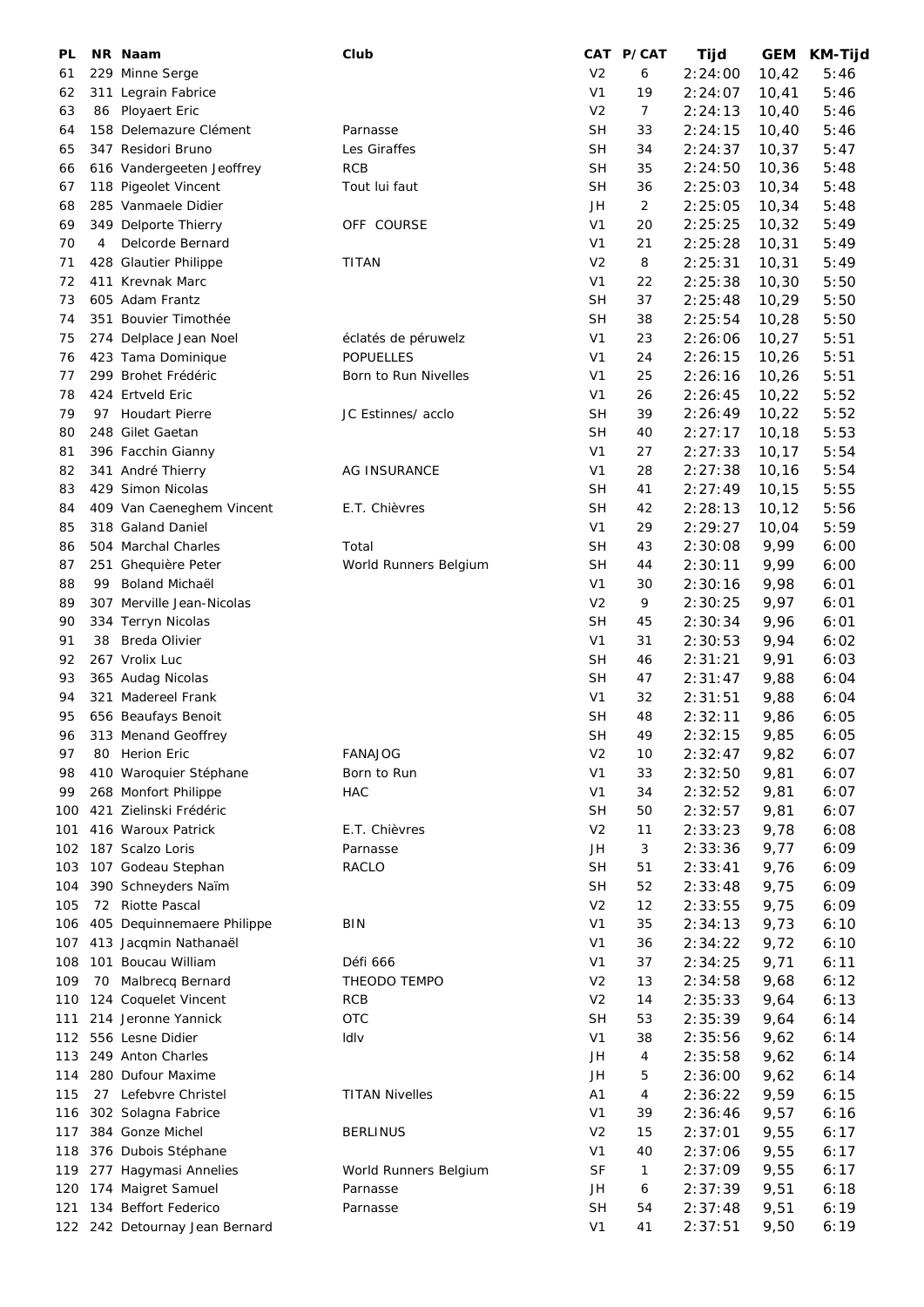| PL  |    | NR Naam                                   | Club                      |                        | CAT P/CAT      | Tijd               | GEM    | KM-Tijd |
|-----|----|-------------------------------------------|---------------------------|------------------------|----------------|--------------------|--------|---------|
| 61  |    | 229 Minne Serge                           |                           | V <sub>2</sub>         | 6              | 2:24:00            | 10,42  | 5:46    |
| 62  |    | 311 Legrain Fabrice                       |                           | V <sub>1</sub>         | 19             | 2:24:07            | 10,41  | 5:46    |
| 63  |    | 86 Ployaert Eric                          |                           | V <sub>2</sub>         | $\overline{7}$ | 2:24:13            | 10,40  | 5:46    |
| 64  |    | 158 Delemazure Clément                    | Parnasse                  | <b>SH</b>              | 33             | 2:24:15            | 10,40  | 5:46    |
| 65  |    | 347 Residori Bruno                        | Les Giraffes              | <b>SH</b>              | 34             | 2:24:37            | 10,37  | 5:47    |
| 66  |    | 616 Vandergeeten Jeoffrey                 | <b>RCB</b>                | <b>SH</b>              | 35             | 2:24:50            | 10,36  | 5:48    |
| 67  |    | 118 Pigeolet Vincent                      | Tout lui faut             | <b>SH</b>              | 36             | 2:25:03            | 10,34  | 5:48    |
| 68  |    | 285 Vanmaele Didier                       |                           | JH                     | $\overline{2}$ | 2:25:05            | 10,34  | 5:48    |
| 69  |    | 349 Delporte Thierry                      | OFF COURSE                | V <sub>1</sub>         | 20             | 2:25:25            | 10,32  | 5:49    |
| 70  | 4  | Delcorde Bernard                          |                           | V1                     | 21             | 2:25:28            | 10,31  | 5:49    |
| 71  |    | 428 Glautier Philippe                     | <b>TITAN</b>              | V <sub>2</sub>         | 8              | 2:25:31            | 10,31  | 5:49    |
| 72  |    | 411 Krevnak Marc                          |                           | V <sub>1</sub>         | 22             | 2:25:38            | 10,30  | 5:50    |
| 73  |    | 605 Adam Frantz                           |                           | <b>SH</b>              | 37             | 2:25:48            | 10,29  | 5:50    |
| 74  |    | 351 Bouvier Timothée                      |                           | <b>SH</b>              | 38             | 2:25:54            | 10,28  | 5:50    |
| 75  |    | 274 Delplace Jean Noel                    | éclatés de péruwelz       | V <sub>1</sub>         | 23             | 2:26:06            | 10,27  | 5:51    |
| 76  |    | 423 Tama Dominique                        | <b>POPUELLES</b>          | V <sub>1</sub>         | 24             | 2:26:15            | 10,26  | 5:51    |
| 77  |    | 299 Brohet Frédéric                       | Born to Run Nivelles      | V <sub>1</sub>         | 25             | 2:26:16            | 10,26  | 5:51    |
| 78  |    | 424 Ertveld Eric                          |                           | V1                     | 26             | 2:26:45            | 10,22  | 5:52    |
| 79  |    | 97 Houdart Pierre                         | JC Estinnes/ acclo        | <b>SH</b>              | 39             | 2:26:49            | 10,22  | 5:52    |
| 80  |    | 248 Gilet Gaetan                          |                           | SН                     | 40             | 2:27:17            | 10,18  | 5:53    |
| 81  |    | 396 Facchin Gianny                        |                           | V1                     | 27             | 2:27:33            | 10, 17 | 5:54    |
| 82  |    | 341 André Thierry                         | <b>AG INSURANCE</b>       | V <sub>1</sub>         | 28             | 2:27:38            | 10,16  | 5:54    |
| 83  |    | 429 Simon Nicolas                         |                           | SΗ                     | 41             | 2:27:49            | 10,15  | 5:55    |
| 84  |    | 409 Van Caeneghem Vincent                 | E.T. Chièvres             | <b>SH</b>              | 42             | 2:28:13            | 10, 12 | 5:56    |
| 85  |    | 318 Galand Daniel                         |                           | V1                     | 29             | 2:29:27            | 10,04  | 5:59    |
| 86  |    | 504 Marchal Charles                       | Total                     | SΗ                     | 43             | 2:30:08            | 9,99   | 6:00    |
| 87  |    | 251 Ghequière Peter                       | World Runners Belgium     | SН                     | 44             | 2:30:11            | 9,99   | 6:00    |
| 88  | 99 | Boland Michaël                            |                           | V1                     | 30             | 2:30:16            | 9,98   | 6:01    |
| 89  |    | 307 Merville Jean-Nicolas                 |                           | V <sub>2</sub>         | 9              | 2:30:25            | 9,97   | 6:01    |
| 90  |    | 334 Terryn Nicolas                        |                           | <b>SH</b>              | 45             | 2:30:34            | 9,96   | 6:01    |
| 91  | 38 | Breda Olivier                             |                           | V <sub>1</sub>         | 31             | 2:30:53            | 9,94   | 6:02    |
| 92  |    | 267 Vrolix Luc                            |                           | <b>SH</b>              | 46             | 2:31:21            | 9,91   | 6:03    |
| 93  |    | 365 Audag Nicolas                         |                           | <b>SH</b>              | 47             | 2:31:47            | 9,88   | 6:04    |
| 94  |    | 321 Madereel Frank                        |                           | V1                     | 32             | 2:31:51            | 9,88   | 6:04    |
| 95  |    | 656 Beaufays Benoit                       |                           | <b>SH</b>              | 48             | 2:32:11            | 9,86   | 6:05    |
| 96  |    | 313 Menand Geoffrey                       |                           | <b>SH</b>              | 49             | 2:32:15            | 9,85   | 6:05    |
| 97  |    | <b>Herion Eric</b>                        | <b>FANAJOG</b>            | V <sub>2</sub>         |                |                    |        |         |
| 98  | 80 | 410 Waroquier Stéphane                    |                           | V <sub>1</sub>         | 10             | 2:32:47            | 9,82   | 6:07    |
|     |    | 268 Monfort Philippe                      | Born to Run<br><b>HAC</b> | V <sub>1</sub>         | 33<br>34       | 2:32:50            | 9,81   | 6:07    |
| 99  |    | 421 Zielinski Frédéric                    |                           | <b>SH</b>              | 50             | 2:32:52<br>2:32:57 | 9,81   | 6:07    |
| 100 |    | 416 Waroux Patrick                        | E.T. Chièvres             | V <sub>2</sub>         |                |                    | 9,81   | 6:07    |
| 101 |    |                                           |                           |                        | 11             | 2:33:23            | 9,78   | 6:08    |
| 102 |    | 187 Scalzo Loris                          | Parnasse                  | JH                     | 3              | 2:33:36            | 9,77   | 6:09    |
| 103 |    | 107 Godeau Stephan<br>390 Schneyders Naïm | RACLO                     | <b>SH</b><br><b>SH</b> | 51<br>52       | 2:33:41            | 9,76   | 6:09    |
| 104 |    |                                           |                           | V <sub>2</sub>         |                | 2:33:48            | 9,75   | 6:09    |
| 105 |    | 72 Riotte Pascal                          |                           |                        | 12             | 2:33:55            | 9,75   | 6:09    |
| 106 |    | 405 Dequinnemaere Philippe                | <b>BIN</b>                | V <sub>1</sub>         | 35             | 2:34:13            | 9,73   | 6:10    |
| 107 |    | 413 Jacqmin Nathanaël                     |                           | V <sub>1</sub>         | 36             | 2:34:22            | 9,72   | 6:10    |
| 108 |    | 101 Boucau William                        | Défi 666                  | V <sub>1</sub>         | 37             | 2:34:25            | 9,71   | 6:11    |
| 109 | 70 | Malbrecq Bernard                          | THEODO TEMPO              | V <sub>2</sub>         | 13             | 2:34:58            | 9,68   | 6:12    |
| 110 |    | 124 Coquelet Vincent                      | RCB                       | V <sub>2</sub>         | 14             | 2:35:33            | 9,64   | 6:13    |
| 111 |    | 214 Jeronne Yannick                       | <b>OTC</b>                | <b>SH</b>              | 53             | 2:35:39            | 9,64   | 6:14    |
| 112 |    | 556 Lesne Didier                          | Idlv                      | V1                     | 38             | 2:35:56            | 9,62   | 6:14    |
| 113 |    | 249 Anton Charles                         |                           | JH                     | 4              | 2:35:58            | 9,62   | 6:14    |
| 114 |    | 280 Dufour Maxime                         |                           | JH                     | 5              | 2:36:00            | 9,62   | 6:14    |
| 115 |    | 27 Lefebvre Christel                      | <b>TITAN Nivelles</b>     | A <sub>1</sub>         | 4              | 2:36:22            | 9,59   | 6:15    |
| 116 |    | 302 Solagna Fabrice                       |                           | V1                     | 39             | 2:36:46            | 9,57   | 6:16    |
| 117 |    | 384 Gonze Michel                          | <b>BERLINUS</b>           | V <sub>2</sub>         | 15             | 2:37:01            | 9,55   | 6:17    |
| 118 |    | 376 Dubois Stéphane                       |                           | V1                     | 40             | 2:37:06            | 9,55   | 6:17    |
| 119 |    | 277 Hagymasi Annelies                     | World Runners Belgium     | <b>SF</b>              | 1              | 2:37:09            | 9,55   | 6:17    |
| 120 |    | 174 Maigret Samuel                        | Parnasse                  | JH                     | 6              | 2:37:39            | 9,51   | 6:18    |
| 121 |    | 134 Beffort Federico                      | Parnasse                  | <b>SH</b>              | 54             | 2:37:48            | 9,51   | 6:19    |
|     |    | 122 242 Detournay Jean Bernard            |                           | V <sub>1</sub>         | 41             | 2:37:51            | 9,50   | 6:19    |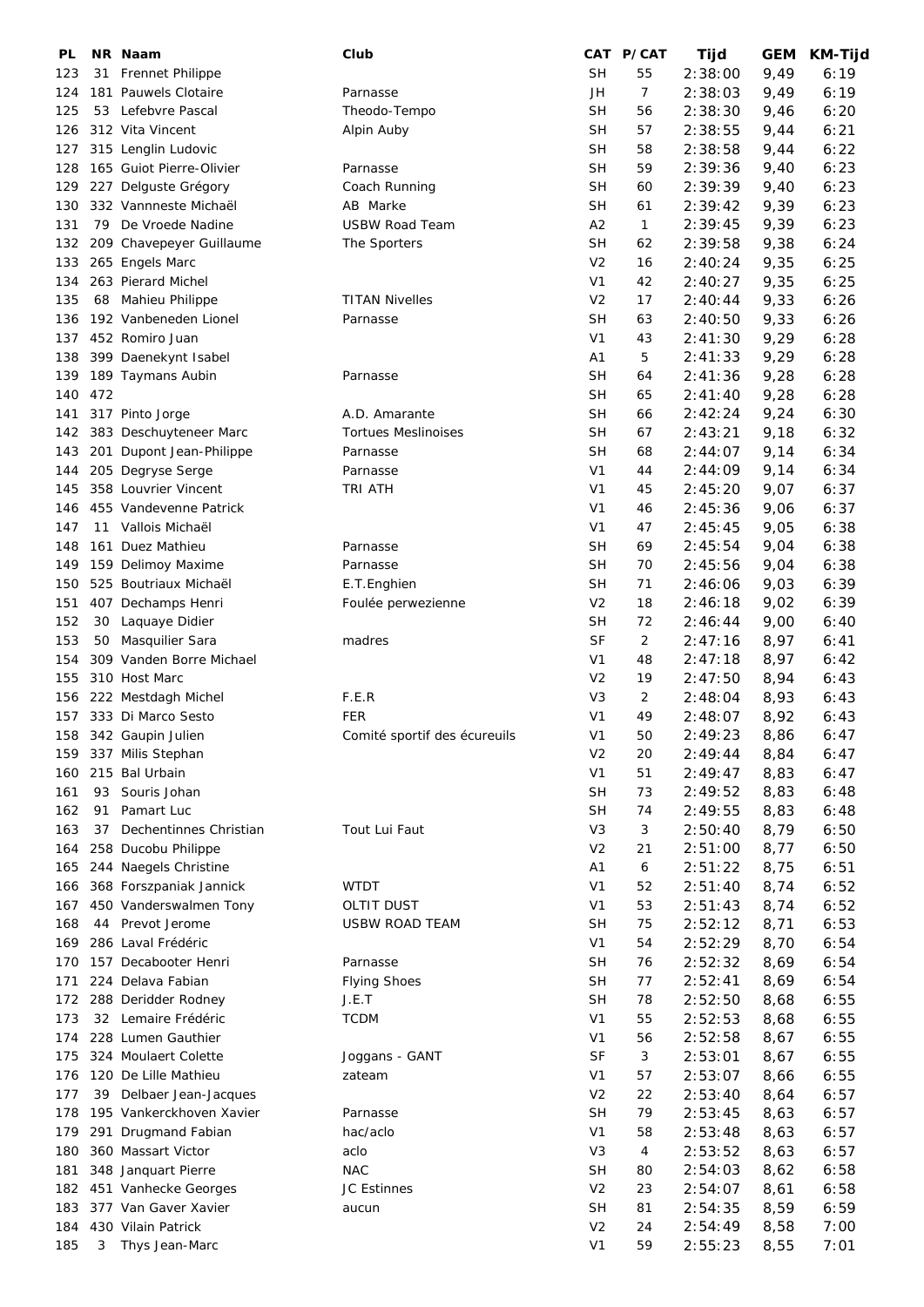| PL  |     | NR Naam                  | Club                         |                | CAT P/CAT | Tijd    | <b>GEM</b> | KM-Tijd |
|-----|-----|--------------------------|------------------------------|----------------|-----------|---------|------------|---------|
| 123 |     | 31 Frennet Philippe      |                              | <b>SH</b>      | 55        | 2:38:00 | 9,49       | 6:19    |
| 124 |     | 181 Pauwels Clotaire     | Parnasse                     | JH             | 7         | 2:38:03 | 9,49       | 6:19    |
| 125 | 53  | Lefebvre Pascal          | Theodo-Tempo                 | <b>SH</b>      | 56        | 2:38:30 | 9,46       | 6:20    |
| 126 |     | 312 Vita Vincent         | Alpin Auby                   | <b>SH</b>      | 57        | 2:38:55 | 9,44       | 6:21    |
| 127 |     | 315 Lenglin Ludovic      |                              | <b>SH</b>      | 58        | 2:38:58 | 9,44       | 6:22    |
| 128 |     | 165 Guiot Pierre-Olivier | Parnasse                     | <b>SH</b>      | 59        | 2:39:36 | 9,40       | 6:23    |
| 129 |     | 227 Delguste Grégory     | Coach Running                | <b>SH</b>      | 60        | 2:39:39 | 9,40       | 6:23    |
| 130 |     | 332 Vannneste Michaël    | AB Marke                     | <b>SH</b>      | 61        | 2:39:42 | 9,39       | 6:23    |
| 131 |     | 79 De Vroede Nadine      | <b>USBW Road Team</b>        | A2             | 1         |         |            | 6:23    |
|     |     |                          |                              |                |           | 2:39:45 | 9,39       |         |
| 132 |     | 209 Chavepeyer Guillaume | The Sporters                 | <b>SH</b>      | 62        | 2:39:58 | 9,38       | 6:24    |
| 133 |     | 265 Engels Marc          |                              | V <sub>2</sub> | 16        | 2:40:24 | 9,35       | 6:25    |
| 134 |     | 263 Pierard Michel       |                              | V <sub>1</sub> | 42        | 2:40:27 | 9,35       | 6:25    |
| 135 |     | 68 Mahieu Philippe       | <b>TITAN Nivelles</b>        | V <sub>2</sub> | 17        | 2:40:44 | 9,33       | 6:26    |
| 136 |     | 192 Vanbeneden Lionel    | Parnasse                     | <b>SH</b>      | 63        | 2:40:50 | 9,33       | 6:26    |
| 137 |     | 452 Romiro Juan          |                              | V <sub>1</sub> | 43        | 2:41:30 | 9,29       | 6:28    |
| 138 |     | 399 Daenekynt Isabel     |                              | A1             | 5         | 2:41:33 | 9,29       | 6:28    |
| 139 |     | 189 Taymans Aubin        | Parnasse                     | <b>SH</b>      | 64        | 2:41:36 | 9,28       | 6:28    |
| 140 | 472 |                          |                              | <b>SH</b>      | 65        | 2:41:40 | 9,28       | 6:28    |
| 141 |     | 317 Pinto Jorge          | A.D. Amarante                | <b>SH</b>      | 66        | 2:42:24 | 9,24       | 6:30    |
| 142 |     | 383 Deschuyteneer Marc   | <b>Tortues Meslinoises</b>   | <b>SH</b>      | 67        | 2:43:21 | 9,18       | 6:32    |
| 143 |     | 201 Dupont Jean-Philippe | Parnasse                     | <b>SH</b>      | 68        | 2:44:07 | 9,14       | 6:34    |
| 144 |     | 205 Degryse Serge        | Parnasse                     | V <sub>1</sub> | 44        | 2:44:09 | 9,14       | 6:34    |
| 145 |     | 358 Louvrier Vincent     | TRI ATH                      | V <sub>1</sub> | 45        | 2:45:20 | 9,07       | 6:37    |
| 146 |     | 455 Vandevenne Patrick   |                              | V <sub>1</sub> | 46        | 2:45:36 | 9,06       | 6:37    |
| 147 |     | 11 Vallois Michaël       |                              | V <sub>1</sub> | 47        | 2:45:45 | 9,05       | 6:38    |
| 148 |     | 161 Duez Mathieu         | Parnasse                     | <b>SH</b>      | 69        | 2:45:54 | 9,04       | 6:38    |
| 149 |     | 159 Delimoy Maxime       | Parnasse                     | <b>SH</b>      | 70        | 2:45:56 | 9,04       | 6:38    |
| 150 |     | 525 Boutriaux Michaël    | E.T.Enghien                  | <b>SH</b>      | 71        | 2:46:06 | 9,03       | 6:39    |
| 151 |     | 407 Dechamps Henri       | Foulée perwezienne           | V <sub>2</sub> | 18        | 2:46:18 | 9,02       | 6:39    |
| 152 |     |                          |                              | <b>SH</b>      |           |         |            |         |
|     | 30  | Laquaye Didier           |                              |                | 72        | 2:46:44 | 9,00       | 6:40    |
| 153 | 50  | Masquilier Sara          | madres                       | <b>SF</b>      | 2         | 2:47:16 | 8,97       | 6:41    |
| 154 |     | 309 Vanden Borre Michael |                              | V <sub>1</sub> | 48        | 2:47:18 | 8,97       | 6:42    |
| 155 |     | 310 Host Marc            |                              | V <sub>2</sub> | 19        | 2:47:50 | 8,94       | 6:43    |
| 156 |     | 222 Mestdagh Michel      | F.E.R                        | V <sub>3</sub> | 2         | 2:48:04 | 8,93       | 6:43    |
| 157 |     | 333 Di Marco Sesto       | <b>FER</b>                   | V <sub>1</sub> | 49        | 2:48:07 | 8,92       | 6:43    |
| 158 |     | 342 Gaupin Julien        | Comité sportif des écureuils | V <sub>1</sub> | 50        | 2:49:23 | 8,86       | 6:47    |
| 159 |     | 337 Milis Stephan        |                              | V <sub>2</sub> | 20        | 2:49:44 | 8,84       | 6:47    |
| 160 |     | 215 Bal Urbain           |                              | V <sub>1</sub> | 51        | 2:49:47 | 8,83       | 6:47    |
| 161 | 93  | Souris Johan             |                              | <b>SH</b>      | 73        | 2:49:52 | 8,83       | 6:48    |
| 162 |     | 91 Pamart Luc            |                              | SH             | 74        | 2:49:55 | 8,83       | 6:48    |
| 163 | 37  | Dechentinnes Christian   | Tout Lui Faut                | V3             | 3         | 2:50:40 | 8,79       | 6:50    |
| 164 |     | 258 Ducobu Philippe      |                              | V <sub>2</sub> | 21        | 2:51:00 | 8,77       | 6:50    |
| 165 |     | 244 Naegels Christine    |                              | A <sub>1</sub> | 6         | 2:51:22 | 8,75       | 6:51    |
| 166 |     | 368 Forszpaniak Jannick  | <b>WTDT</b>                  | V <sub>1</sub> | 52        | 2:51:40 | 8,74       | 6:52    |
| 167 |     | 450 Vanderswalmen Tony   | <b>OLTIT DUST</b>            | V <sub>1</sub> | 53        | 2:51:43 | 8,74       | 6:52    |
| 168 |     | 44 Prevot Jerome         | USBW ROAD TEAM               | <b>SH</b>      | 75        | 2:52:12 | 8,71       | 6:53    |
| 169 |     | 286 Laval Frédéric       |                              | V <sub>1</sub> | 54        | 2:52:29 | 8,70       | 6:54    |
| 170 |     | 157 Decabooter Henri     | Parnasse                     | <b>SH</b>      | 76        | 2:52:32 | 8,69       | 6:54    |
| 171 |     | 224 Delava Fabian        | <b>Flying Shoes</b>          | <b>SH</b>      | 77        | 2:52:41 | 8,69       | 6:54    |
| 172 |     | 288 Deridder Rodney      | J.E.T                        | <b>SH</b>      | 78        | 2:52:50 | 8,68       | 6:55    |
| 173 |     | 32 Lemaire Frédéric      | <b>TCDM</b>                  | V <sub>1</sub> | 55        | 2:52:53 | 8,68       | 6:55    |
| 174 |     | 228 Lumen Gauthier       |                              | V <sub>1</sub> | 56        | 2:52:58 | 8,67       | 6:55    |
| 175 |     | 324 Moulaert Colette     | Joggans - GANT               | <b>SF</b>      | 3         | 2:53:01 | 8,67       | 6:55    |
| 176 |     | 120 De Lille Mathieu     | zateam                       | V <sub>1</sub> | 57        | 2:53:07 | 8,66       | 6:55    |
|     |     |                          |                              |                |           |         |            |         |
| 177 |     | 39 Delbaer Jean-Jacques  |                              | V <sub>2</sub> | 22        | 2:53:40 | 8,64       | 6:57    |
| 178 |     | 195 Vankerckhoven Xavier | Parnasse                     | <b>SH</b>      | 79        | 2:53:45 | 8,63       | 6:57    |
| 179 |     | 291 Drugmand Fabian      | hac/aclo                     | V <sub>1</sub> | 58        | 2:53:48 | 8,63       | 6:57    |
| 180 |     | 360 Massart Victor       | aclo                         | V <sub>3</sub> | 4         | 2:53:52 | 8,63       | 6:57    |
| 181 |     | 348 Janquart Pierre      | <b>NAC</b>                   | <b>SH</b>      | 80        | 2:54:03 | 8,62       | 6:58    |
| 182 |     | 451 Vanhecke Georges     | JC Estinnes                  | V <sub>2</sub> | 23        | 2:54:07 | 8,61       | 6:58    |
| 183 |     | 377 Van Gaver Xavier     | aucun                        | <b>SH</b>      | 81        | 2:54:35 | 8,59       | 6:59    |
| 184 |     | 430 Vilain Patrick       |                              | V <sub>2</sub> | 24        | 2:54:49 | 8,58       | 7:00    |
| 185 | 3   | Thys Jean-Marc           |                              | V <sub>1</sub> | 59        | 2:55:23 | 8,55       | 7:01    |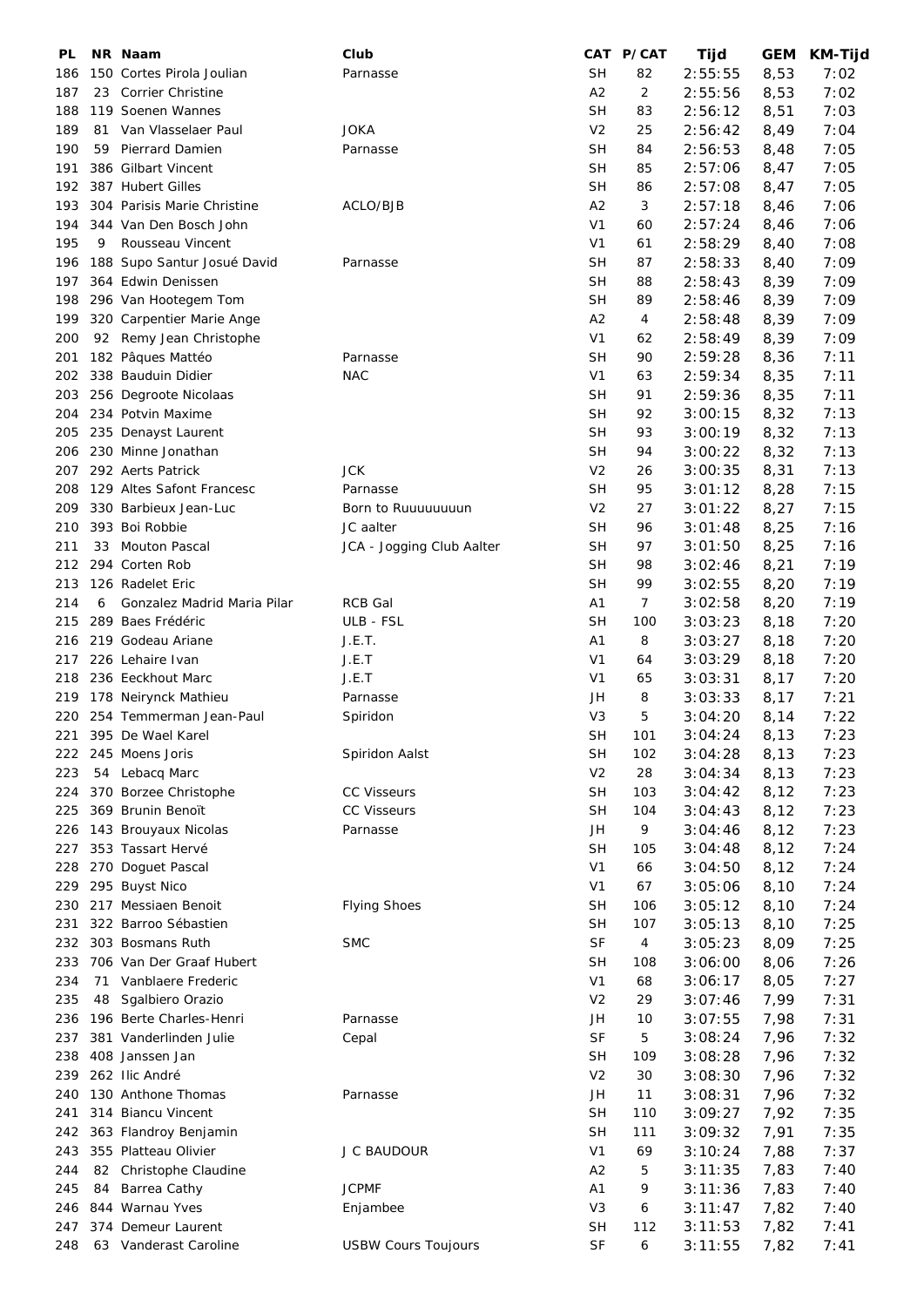| PL  |    | NR Naam                     | Club                       |                | CAT P/CAT | Tijd    | <b>GEM</b> | KM-Tijd |
|-----|----|-----------------------------|----------------------------|----------------|-----------|---------|------------|---------|
| 186 |    | 150 Cortes Pirola Joulian   | Parnasse                   | SН             | 82        | 2:55:55 | 8,53       | 7:02    |
| 187 | 23 | Corrier Christine           |                            | A2             | 2         | 2:55:56 | 8,53       | 7:02    |
| 188 |    | 119 Soenen Wannes           |                            | <b>SH</b>      | 83        | 2:56:12 | 8,51       | 7:03    |
| 189 |    | 81 Van Vlasselaer Paul      | <b>JOKA</b>                | V <sub>2</sub> | 25        | 2:56:42 | 8,49       | 7:04    |
| 190 | 59 | <b>Pierrard Damien</b>      | Parnasse                   | <b>SH</b>      | 84        | 2:56:53 | 8,48       | 7:05    |
| 191 |    | 386 Gilbart Vincent         |                            | <b>SH</b>      | 85        | 2:57:06 | 8,47       | 7:05    |
| 192 |    | 387 Hubert Gilles           |                            | <b>SH</b>      | 86        | 2:57:08 | 8,47       | 7:05    |
| 193 |    | 304 Parisis Marie Christine | ACLO/BJB                   | A2             | 3         | 2:57:18 | 8,46       | 7:06    |
| 194 |    | 344 Van Den Bosch John      |                            | V <sub>1</sub> | 60        | 2:57:24 | 8,46       | 7:06    |
| 195 | 9  | Rousseau Vincent            |                            | V <sub>1</sub> | 61        | 2:58:29 | 8,40       | 7:08    |
| 196 |    | 188 Supo Santur Josué David | Parnasse                   | <b>SH</b>      | 87        | 2:58:33 | 8,40       | 7:09    |
| 197 |    | 364 Edwin Denissen          |                            | <b>SH</b>      | 88        | 2:58:43 | 8,39       | 7:09    |
| 198 |    | 296 Van Hootegem Tom        |                            | <b>SH</b>      | 89        | 2:58:46 | 8,39       | 7:09    |
| 199 |    |                             |                            | A2             | 4         |         |            |         |
|     |    | 320 Carpentier Marie Ange   |                            |                |           | 2:58:48 | 8,39       | 7:09    |
| 200 |    | 92 Remy Jean Christophe     |                            | V <sub>1</sub> | 62        | 2:58:49 | 8,39       | 7:09    |
| 201 |    | 182 Pâques Mattéo           | Parnasse                   | <b>SH</b>      | 90        | 2:59:28 | 8,36       | 7:11    |
| 202 |    | 338 Bauduin Didier          | <b>NAC</b>                 | V <sub>1</sub> | 63        | 2:59:34 | 8,35       | 7:11    |
| 203 |    | 256 Degroote Nicolaas       |                            | <b>SH</b>      | 91        | 2:59:36 | 8,35       | 7:11    |
| 204 |    | 234 Potvin Maxime           |                            | SН             | 92        | 3:00:15 | 8,32       | 7:13    |
| 205 |    | 235 Denayst Laurent         |                            | <b>SH</b>      | 93        | 3:00:19 | 8,32       | 7:13    |
| 206 |    | 230 Minne Jonathan          |                            | SН             | 94        | 3:00:22 | 8,32       | 7:13    |
| 207 |    | 292 Aerts Patrick           | <b>JCK</b>                 | V <sub>2</sub> | 26        | 3:00:35 | 8,31       | 7:13    |
| 208 |    | 129 Altes Safont Francesc   | Parnasse                   | <b>SH</b>      | 95        | 3:01:12 | 8,28       | 7:15    |
| 209 |    | 330 Barbieux Jean-Luc       | Born to Ruuuuuuuun         | V <sub>2</sub> | 27        | 3:01:22 | 8,27       | 7:15    |
| 210 |    | 393 Boi Robbie              | JC aalter                  | SН             | 96        | 3:01:48 | 8,25       | 7:16    |
| 211 | 33 | <b>Mouton Pascal</b>        | JCA - Jogging Club Aalter  | SН             | 97        | 3:01:50 | 8,25       | 7:16    |
| 212 |    | 294 Corten Rob              |                            | SН             | 98        | 3:02:46 | 8,21       | 7:19    |
| 213 |    | 126 Radelet Eric            |                            | <b>SH</b>      | 99        | 3:02:55 | 8,20       | 7:19    |
| 214 | 6  | Gonzalez Madrid Maria Pilar | <b>RCB Gal</b>             | A <sub>1</sub> | 7         | 3:02:58 | 8,20       | 7:19    |
| 215 |    | 289 Baes Frédéric           | ULB - FSL                  | <b>SH</b>      | 100       | 3:03:23 | 8,18       | 7:20    |
| 216 |    | 219 Godeau Ariane           | J.E.T.                     | A1             | 8         | 3:03:27 | 8,18       | 7:20    |
| 217 |    | 226 Lehaire Ivan            | J.E.T                      | V <sub>1</sub> | 64        | 3:03:29 | 8,18       | 7:20    |
| 218 |    | 236 Eeckhout Marc           | J.E.T                      | V <sub>1</sub> | 65        |         |            |         |
|     |    |                             |                            |                |           | 3:03:31 | 8,17       | 7:20    |
| 219 |    | 178 Neirynck Mathieu        | Parnasse                   | JH             | 8         | 3:03:33 | 8,17       | 7:21    |
| 220 |    | 254 Temmerman Jean-Paul     | Spiridon                   | V <sub>3</sub> | 5         | 3:04:20 | 8,14       | 7:22    |
| 221 |    | 395 De Wael Karel           |                            | <b>SH</b>      | 101       | 3:04:24 | 8,13       | 7:23    |
| 222 |    | 245 Moens Joris             | Spiridon Aalst             | <b>SH</b>      | 102       | 3:04:28 | 8,13       | 7:23    |
| 223 |    | 54 Lebacq Marc              |                            | V <sub>2</sub> | 28        | 3:04:34 | 8,13       | 7:23    |
| 224 |    | 370 Borzee Christophe       | <b>CC Visseurs</b>         | <b>SH</b>      | 103       | 3:04:42 | 8,12       | 7:23    |
| 225 |    | 369 Brunin Benoït           | <b>CC Visseurs</b>         | <b>SH</b>      | 104       | 3:04:43 | 8,12       | 7:23    |
| 226 |    | 143 Brouyaux Nicolas        | Parnasse                   | JH             | 9         | 3:04:46 | 8,12       | 7:23    |
| 227 |    | 353 Tassart Hervé           |                            | <b>SH</b>      | 105       | 3:04:48 | 8,12       | 7:24    |
| 228 |    | 270 Doguet Pascal           |                            | V <sub>1</sub> | 66        | 3:04:50 | 8,12       | 7:24    |
| 229 |    | 295 Buyst Nico              |                            | V <sub>1</sub> | 67        | 3:05:06 | 8,10       | 7:24    |
| 230 |    | 217 Messiaen Benoit         | <b>Flying Shoes</b>        | <b>SH</b>      | 106       | 3:05:12 | 8,10       | 7:24    |
| 231 |    | 322 Barroo Sébastien        |                            | <b>SH</b>      | 107       | 3:05:13 | 8,10       | 7:25    |
| 232 |    | 303 Bosmans Ruth            | <b>SMC</b>                 | <b>SF</b>      | 4         | 3:05:23 | 8,09       | 7:25    |
| 233 |    | 706 Van Der Graaf Hubert    |                            | <b>SH</b>      | 108       | 3:06:00 | 8,06       | 7:26    |
| 234 |    | 71 Vanblaere Frederic       |                            | V <sub>1</sub> | 68        | 3:06:17 | 8,05       | 7:27    |
| 235 | 48 | Sgalbiero Orazio            |                            | V <sub>2</sub> | 29        | 3:07:46 | 7,99       | 7:31    |
| 236 |    | 196 Berte Charles-Henri     | Parnasse                   | JH             | 10        | 3:07:55 | 7,98       | 7:31    |
| 237 |    | 381 Vanderlinden Julie      | Cepal                      | <b>SF</b>      | 5         | 3:08:24 | 7,96       | 7:32    |
| 238 |    | 408 Janssen Jan             |                            | <b>SH</b>      | 109       | 3:08:28 | 7,96       | 7:32    |
| 239 |    | 262 Ilic André              |                            | V <sub>2</sub> | 30        | 3:08:30 | 7,96       | 7:32    |
| 240 |    | 130 Anthone Thomas          | Parnasse                   | JH             | 11        | 3:08:31 | 7,96       | 7:32    |
| 241 |    | 314 Biancu Vincent          |                            | <b>SH</b>      | 110       | 3:09:27 | 7,92       | 7:35    |
|     |    |                             |                            | SН             |           |         |            | 7:35    |
| 242 |    | 363 Flandroy Benjamin       |                            |                | 111       | 3:09:32 | 7,91       |         |
| 243 |    | 355 Platteau Olivier        | J C BAUDOUR                | V <sub>1</sub> | 69        | 3:10:24 | 7,88       | 7:37    |
| 244 | 82 | Christophe Claudine         |                            | A <sub>2</sub> | 5         | 3:11:35 | 7,83       | 7:40    |
| 245 | 84 | Barrea Cathy                | <b>JCPMF</b>               | A <sub>1</sub> | 9         | 3:11:36 | 7,83       | 7:40    |
| 246 |    | 844 Warnau Yves             | Enjambee                   | V3             | 6         | 3:11:47 | 7,82       | 7:40    |
| 247 |    | 374 Demeur Laurent          |                            | <b>SH</b>      | 112       | 3:11:53 | 7,82       | 7:41    |
| 248 |    | 63 Vanderast Caroline       | <b>USBW Cours Toujours</b> | <b>SF</b>      | 6         | 3:11:55 | 7,82       | 7:41    |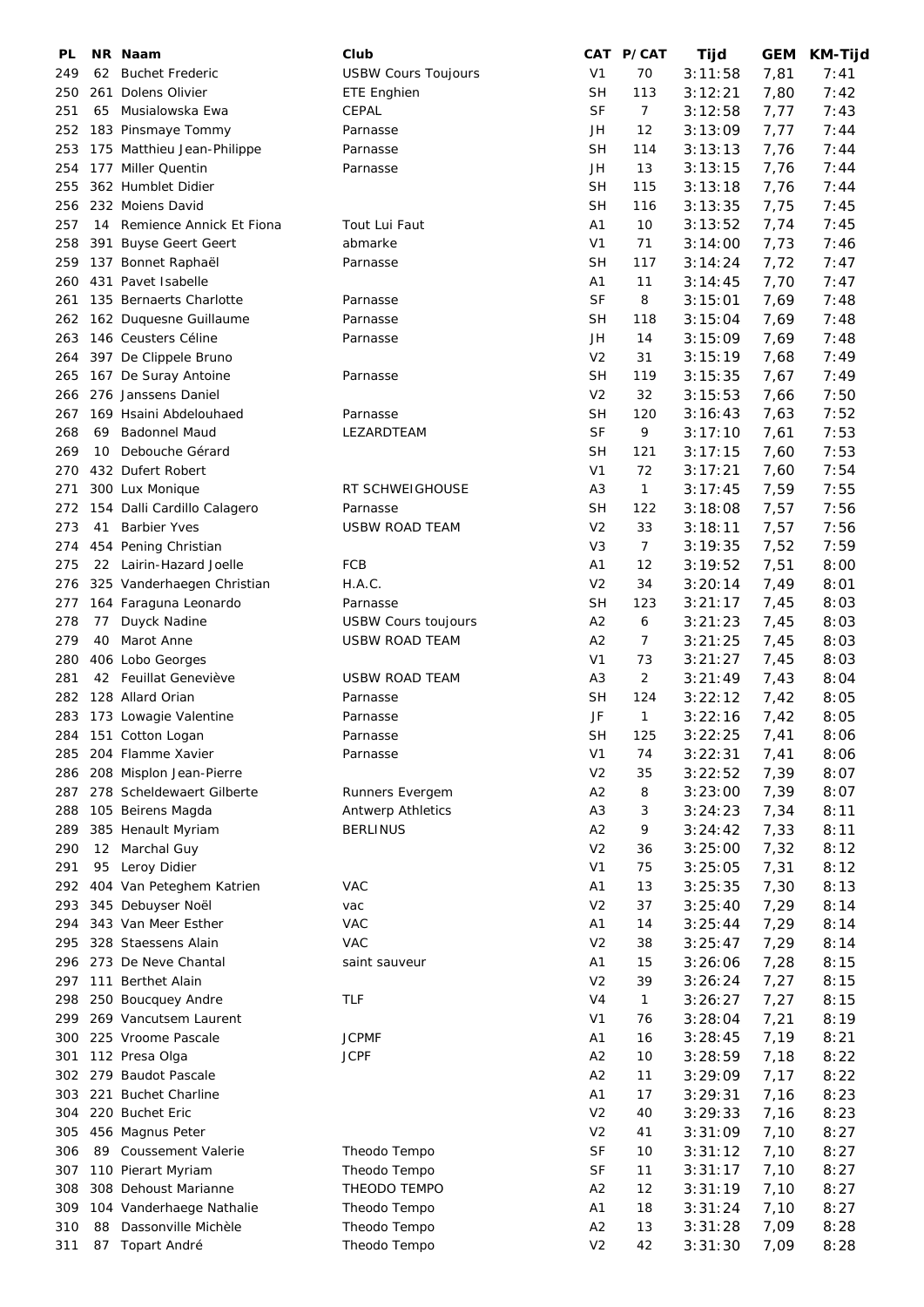| PL  |    | NR Naam                     | Club                       |                | CAT P/CAT    | Tijd    | <b>GEM</b> | KM-Tijd |
|-----|----|-----------------------------|----------------------------|----------------|--------------|---------|------------|---------|
| 249 | 62 | <b>Buchet Frederic</b>      | <b>USBW Cours Toujours</b> | V <sub>1</sub> | 70           | 3:11:58 | 7,81       | 7:41    |
| 250 |    | 261 Dolens Olivier          | <b>ETE Enghien</b>         | <b>SH</b>      | 113          | 3:12:21 | 7,80       | 7:42    |
| 251 | 65 | Musialowska Ewa             | CEPAL                      | <b>SF</b>      | 7            | 3:12:58 | 7,77       | 7:43    |
| 252 |    | 183 Pinsmaye Tommy          | Parnasse                   | JH             | 12           | 3:13:09 | 7,77       | 7:44    |
| 253 |    | 175 Matthieu Jean-Philippe  | Parnasse                   | <b>SH</b>      | 114          | 3:13:13 | 7,76       | 7:44    |
| 254 |    | 177 Miller Quentin          | Parnasse                   | JH             | 13           | 3:13:15 | 7,76       | 7:44    |
| 255 |    | 362 Humblet Didier          |                            | <b>SH</b>      | 115          | 3:13:18 | 7,76       | 7:44    |
|     |    | 232 Moiens David            |                            | <b>SH</b>      | 116          |         |            |         |
| 256 |    | 14 Remience Annick Et Fiona |                            |                |              | 3:13:35 | 7,75       | 7:45    |
| 257 |    |                             | Tout Lui Faut              | A1             | 10           | 3:13:52 | 7,74       | 7:45    |
| 258 |    | 391 Buyse Geert Geert       | abmarke                    | V <sub>1</sub> | 71           | 3:14:00 | 7,73       | 7:46    |
| 259 |    | 137 Bonnet Raphaël          | Parnasse                   | <b>SH</b>      | 117          | 3:14:24 | 7,72       | 7:47    |
| 260 |    | 431 Pavet Isabelle          |                            | A1             | 11           | 3:14:45 | 7,70       | 7:47    |
| 261 |    | 135 Bernaerts Charlotte     | Parnasse                   | <b>SF</b>      | 8            | 3:15:01 | 7,69       | 7:48    |
| 262 |    | 162 Duquesne Guillaume      | Parnasse                   | <b>SH</b>      | 118          | 3:15:04 | 7,69       | 7:48    |
| 263 |    | 146 Ceusters Céline         | Parnasse                   | JH             | 14           | 3:15:09 | 7,69       | 7:48    |
| 264 |    | 397 De Clippele Bruno       |                            | V <sub>2</sub> | 31           | 3:15:19 | 7,68       | 7:49    |
| 265 |    | 167 De Suray Antoine        | Parnasse                   | <b>SH</b>      | 119          | 3:15:35 | 7,67       | 7:49    |
| 266 |    | 276 Janssens Daniel         |                            | V <sub>2</sub> | 32           | 3:15:53 | 7,66       | 7:50    |
| 267 |    | 169 Hsaini Abdelouhaed      | Parnasse                   | SH             | 120          | 3:16:43 | 7,63       | 7:52    |
| 268 | 69 | <b>Badonnel Maud</b>        | LEZARDTEAM                 | <b>SF</b>      | 9            | 3:17:10 | 7,61       | 7:53    |
| 269 | 10 | Debouche Gérard             |                            | <b>SH</b>      | 121          | 3:17:15 | 7,60       | 7:53    |
| 270 |    | 432 Dufert Robert           |                            | V <sub>1</sub> | 72           | 3:17:21 | 7,60       | 7:54    |
| 271 |    | 300 Lux Monique             | RT SCHWEIGHOUSE            | A <sub>3</sub> | 1            | 3:17:45 | 7,59       | 7:55    |
| 272 |    | 154 Dalli Cardillo Calagero | Parnasse                   | <b>SH</b>      | 122          | 3:18:08 | 7,57       | 7:56    |
| 273 | 41 | <b>Barbier Yves</b>         | <b>USBW ROAD TEAM</b>      | V <sub>2</sub> | 33           | 3:18:11 | 7,57       | 7:56    |
| 274 |    | 454 Pening Christian        |                            | V <sub>3</sub> | 7            | 3:19:35 | 7,52       | 7:59    |
| 275 |    | 22 Lairin-Hazard Joelle     | FCB                        | A1             | 12           | 3:19:52 | 7,51       | 8:00    |
| 276 |    |                             | H.A.C.                     | V <sub>2</sub> | 34           |         |            | 8:01    |
|     |    | 325 Vanderhaegen Christian  |                            |                |              | 3:20:14 | 7,49       |         |
| 277 |    | 164 Faraguna Leonardo       | Parnasse                   | <b>SH</b>      | 123          | 3:21:17 | 7,45       | 8:03    |
| 278 | 77 | Duyck Nadine                | <b>USBW Cours toujours</b> | A2             | 6            | 3:21:23 | 7,45       | 8:03    |
| 279 | 40 | Marot Anne                  | <b>USBW ROAD TEAM</b>      | A2             | 7            | 3:21:25 | 7,45       | 8:03    |
| 280 |    | 406 Lobo Georges            |                            | V <sub>1</sub> | 73           | 3:21:27 | 7,45       | 8:03    |
| 281 |    | 42 Feuillat Geneviève       | <b>USBW ROAD TEAM</b>      | A <sub>3</sub> | 2            | 3:21:49 | 7,43       | 8:04    |
| 282 |    | 128 Allard Orian            | Parnasse                   | <b>SH</b>      | 124          | 3:22:12 | 7,42       | 8:05    |
| 283 |    | 173 Lowagie Valentine       | Parnasse                   | JF             | $\mathbf{1}$ | 3:22:16 | 7,42       | 8:05    |
| 284 |    | 151 Cotton Logan            | Parnasse                   | SН             | 125          | 3:22:25 | 7,41       | 8:06    |
| 285 |    | 204 Flamme Xavier           | Parnasse                   | V <sub>1</sub> | 74           | 3:22:31 | 7,41       | 8:06    |
| 286 |    | 208 Misplon Jean-Pierre     |                            | V <sub>2</sub> | 35           | 3:22:52 | 7,39       | 8:07    |
| 287 |    | 278 Scheldewaert Gilberte   | Runners Evergem            | A2             | 8            | 3:23:00 | 7,39       | 8:07    |
| 288 |    | 105 Beirens Magda           | <b>Antwerp Athletics</b>   | A <sub>3</sub> | 3            | 3:24:23 | 7,34       | 8:11    |
| 289 |    | 385 Henault Myriam          | <b>BERLINUS</b>            | A2             | 9            | 3:24:42 | 7,33       | 8:11    |
| 290 |    | 12 Marchal Guy              |                            | V <sub>2</sub> | 36           | 3:25:00 | 7,32       | 8:12    |
| 291 |    | 95 Leroy Didier             |                            | V <sub>1</sub> | 75           | 3:25:05 | 7,31       | 8:12    |
| 292 |    | 404 Van Peteghem Katrien    | <b>VAC</b>                 | A <sub>1</sub> | 13           | 3:25:35 | 7,30       | 8:13    |
| 293 |    | 345 Debuyser Noël           | vac                        | V <sub>2</sub> | 37           | 3:25:40 | 7,29       | 8:14    |
| 294 |    | 343 Van Meer Esther         | <b>VAC</b>                 | A <sub>1</sub> | 14           | 3:25:44 | 7,29       | 8:14    |
| 295 |    | 328 Staessens Alain         | VAC                        | V <sub>2</sub> | 38           | 3:25:47 | 7,29       | 8:14    |
| 296 |    | 273 De Neve Chantal         | saint sauveur              | A <sub>1</sub> | 15           | 3:26:06 | 7,28       | 8:15    |
| 297 |    | 111 Berthet Alain           |                            | V <sub>2</sub> | 39           | 3:26:24 | 7,27       | 8:15    |
|     |    |                             | TLF                        | V4             |              |         |            | 8:15    |
| 298 |    | 250 Boucquey Andre          |                            |                | 1            | 3:26:27 | 7,27       |         |
| 299 |    | 269 Vancutsem Laurent       |                            | V <sub>1</sub> | 76           | 3:28:04 | 7,21       | 8:19    |
| 300 |    | 225 Vroome Pascale          | <b>JCPMF</b>               | A1             | 16           | 3:28:45 | 7,19       | 8:21    |
| 301 |    | 112 Presa Olga              | <b>JCPF</b>                | A2             | 10           | 3:28:59 | 7,18       | 8:22    |
| 302 |    | 279 Baudot Pascale          |                            | A2             | 11           | 3:29:09 | 7,17       | 8:22    |
| 303 |    | 221 Buchet Charline         |                            | A1             | 17           | 3:29:31 | 7,16       | 8:23    |
| 304 |    | 220 Buchet Eric             |                            | V <sub>2</sub> | 40           | 3:29:33 | 7,16       | 8:23    |
| 305 |    | 456 Magnus Peter            |                            | V <sub>2</sub> | 41           | 3:31:09 | 7,10       | 8:27    |
| 306 | 89 | <b>Coussement Valerie</b>   | Theodo Tempo               | <b>SF</b>      | 10           | 3:31:12 | 7,10       | 8:27    |
| 307 |    | 110 Pierart Myriam          | Theodo Tempo               | <b>SF</b>      | 11           | 3:31:17 | 7,10       | 8:27    |
| 308 |    | 308 Dehoust Marianne        | THEODO TEMPO               | A2             | 12           | 3:31:19 | 7,10       | 8:27    |
| 309 |    | 104 Vanderhaege Nathalie    | Theodo Tempo               | A <sub>1</sub> | 18           | 3:31:24 | 7,10       | 8:27    |
| 310 | 88 | Dassonville Michèle         | Theodo Tempo               | A2             | 13           | 3:31:28 | 7,09       | 8:28    |
| 311 | 87 | Topart André                | Theodo Tempo               | V <sub>2</sub> | 42           | 3:31:30 | 7,09       | 8:28    |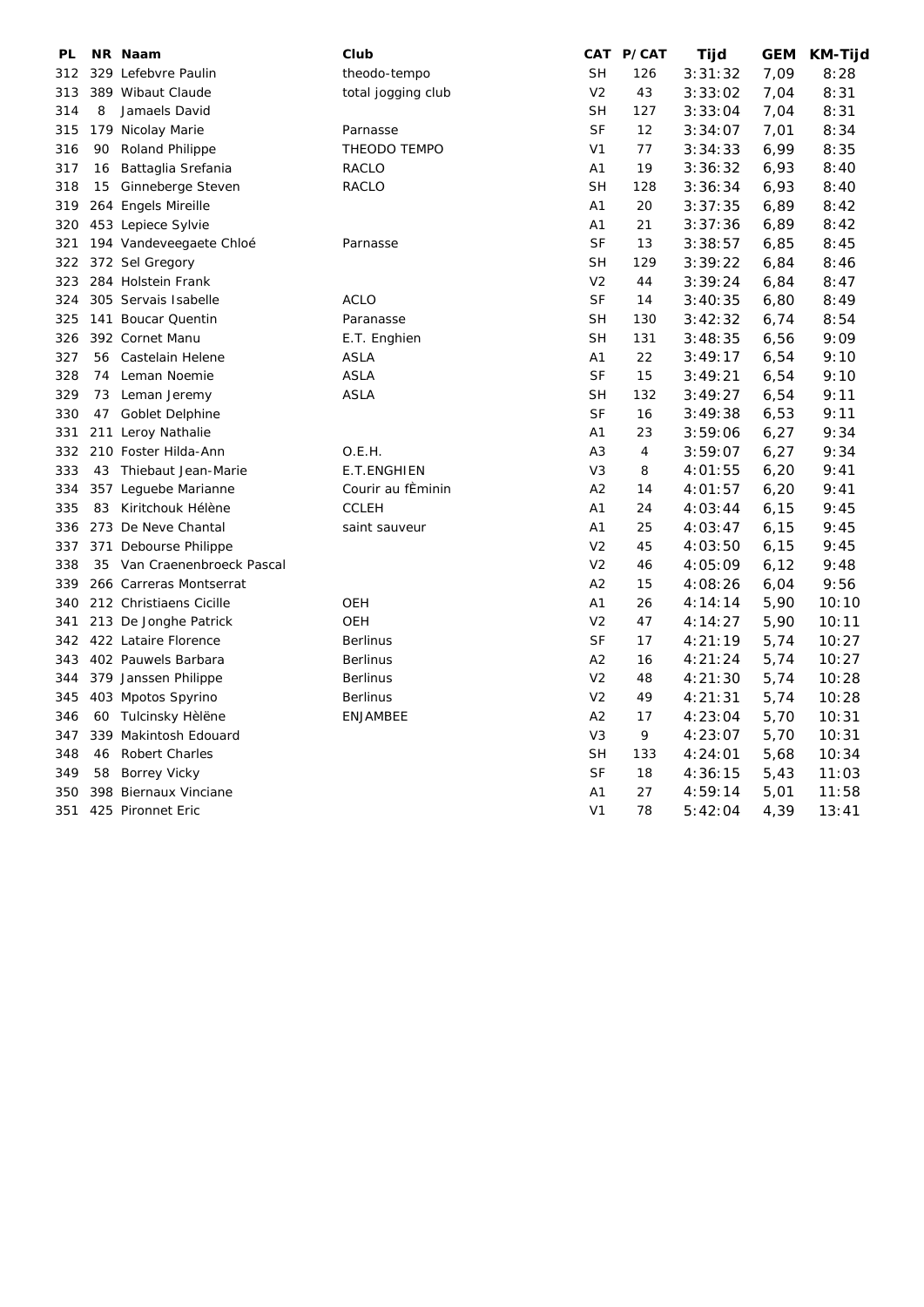| PL  |    | NR Naam                     | Club               |                | CAT P/CAT | Tijd    | <b>GEM</b> | <b>KM-Tijd</b> |
|-----|----|-----------------------------|--------------------|----------------|-----------|---------|------------|----------------|
| 312 |    | 329 Lefebvre Paulin         | theodo-tempo       | <b>SH</b>      | 126       | 3:31:32 | 7,09       | 8:28           |
| 313 |    | 389 Wibaut Claude           | total jogging club | V <sub>2</sub> | 43        | 3:33:02 | 7,04       | 8:31           |
| 314 | 8  | Jamaels David               |                    | <b>SH</b>      | 127       | 3:33:04 | 7,04       | 8:31           |
| 315 |    | 179 Nicolay Marie           | Parnasse           | <b>SF</b>      | 12        | 3:34:07 | 7,01       | 8:34           |
| 316 | 90 | <b>Roland Philippe</b>      | THEODO TEMPO       | V <sub>1</sub> | 77        | 3:34:33 | 6,99       | 8:35           |
| 317 | 16 | Battaglia Srefania          | RACLO              | A <sub>1</sub> | 19        | 3:36:32 | 6,93       | 8:40           |
| 318 | 15 | Ginneberge Steven           | <b>RACLO</b>       | <b>SH</b>      | 128       | 3:36:34 | 6,93       | 8:40           |
| 319 |    | 264 Engels Mireille         |                    | A1             | 20        | 3:37:35 | 6,89       | 8:42           |
| 320 |    | 453 Lepiece Sylvie          |                    | A1             | 21        | 3:37:36 | 6,89       | 8:42           |
| 321 |    | 194 Vandeveegaete Chloé     | Parnasse           | <b>SF</b>      | 13        | 3:38:57 | 6,85       | 8:45           |
| 322 |    | 372 Sel Gregory             |                    | <b>SH</b>      | 129       | 3:39:22 | 6,84       | 8:46           |
| 323 |    | 284 Holstein Frank          |                    | V <sub>2</sub> | 44        | 3:39:24 | 6,84       | 8:47           |
| 324 |    | 305 Servais Isabelle        | <b>ACLO</b>        | <b>SF</b>      | 14        | 3:40:35 | 6,80       | 8:49           |
| 325 |    | 141 Boucar Quentin          | Paranasse          | <b>SH</b>      | 130       | 3:42:32 | 6,74       | 8:54           |
| 326 |    | 392 Cornet Manu             | E.T. Enghien       | <b>SH</b>      | 131       | 3:48:35 | 6,56       | 9:09           |
| 327 |    | 56 Castelain Helene         | <b>ASLA</b>        | A1             | 22        | 3:49:17 | 6,54       | 9:10           |
| 328 | 74 | Leman Noemie                | <b>ASLA</b>        | <b>SF</b>      | 15        | 3:49:21 | 6,54       | 9:10           |
| 329 |    | 73 Leman Jeremy             | ASLA               | <b>SH</b>      | 132       | 3:49:27 | 6,54       | 9:11           |
| 330 |    | 47 Goblet Delphine          |                    | <b>SF</b>      | 16        | 3:49:38 | 6,53       | 9:11           |
| 331 |    | 211 Leroy Nathalie          |                    | A1             | 23        | 3:59:06 | 6,27       | 9:34           |
| 332 |    | 210 Foster Hilda-Ann        | O.E.H.             | A <sub>3</sub> | 4         | 3:59:07 | 6,27       | 9:34           |
| 333 | 43 | Thiebaut Jean-Marie         | <b>E.T.ENGHIEN</b> | V <sub>3</sub> | 8         | 4:01:55 | 6,20       | 9:41           |
| 334 |    | 357 Lequebe Marianne        | Courir au fÈminin  | A <sub>2</sub> | 14        | 4:01:57 | 6,20       | 9:41           |
| 335 | 83 | Kiritchouk Hélène           | <b>CCLEH</b>       | A1             | 24        | 4:03:44 | 6, 15      | 9:45           |
| 336 |    | 273 De Neve Chantal         | saint sauveur      | A1             | 25        | 4:03:47 | 6, 15      | 9:45           |
| 337 |    | 371 Debourse Philippe       |                    | V <sub>2</sub> | 45        | 4:03:50 | 6, 15      | 9:45           |
| 338 |    | 35 Van Craenenbroeck Pascal |                    | V <sub>2</sub> | 46        | 4:05:09 | 6,12       | 9:48           |
| 339 |    | 266 Carreras Montserrat     |                    | A2             | 15        | 4:08:26 | 6,04       | 9:56           |
| 340 |    | 212 Christiaens Cicille     | OEH                | A1             | 26        | 4:14:14 | 5,90       | 10:10          |
| 341 |    | 213 De Jonghe Patrick       | <b>OEH</b>         | V <sub>2</sub> | 47        | 4:14:27 | 5,90       | 10:11          |
| 342 |    | 422 Lataire Florence        | <b>Berlinus</b>    | <b>SF</b>      | 17        | 4:21:19 | 5,74       | 10:27          |
| 343 |    | 402 Pauwels Barbara         | <b>Berlinus</b>    | A2             | 16        | 4:21:24 | 5,74       | 10:27          |
| 344 |    | 379 Janssen Philippe        | <b>Berlinus</b>    | V <sub>2</sub> | 48        | 4:21:30 | 5,74       | 10:28          |
| 345 |    | 403 Mpotos Spyrino          | <b>Berlinus</b>    | V <sub>2</sub> | 49        | 4:21:31 | 5,74       | 10:28          |
| 346 |    | 60 Tulcinsky Hèlëne         | <b>ENJAMBEE</b>    | A2             | 17        | 4:23:04 | 5,70       | 10:31          |
| 347 |    | 339 Makintosh Edouard       |                    | V <sub>3</sub> | 9         | 4:23:07 | 5,70       | 10:31          |
| 348 | 46 | <b>Robert Charles</b>       |                    | <b>SH</b>      | 133       | 4:24:01 | 5,68       | 10:34          |
| 349 |    | 58 Borrey Vicky             |                    | SF             | 18        | 4:36:15 | 5,43       | 11:03          |
| 350 |    | 398 Biernaux Vinciane       |                    | A1             | 27        | 4:59:14 | 5,01       | 11:58          |
| 351 |    | 425 Pironnet Eric           |                    | V <sub>1</sub> | 78        | 5:42:04 | 4,39       | 13:41          |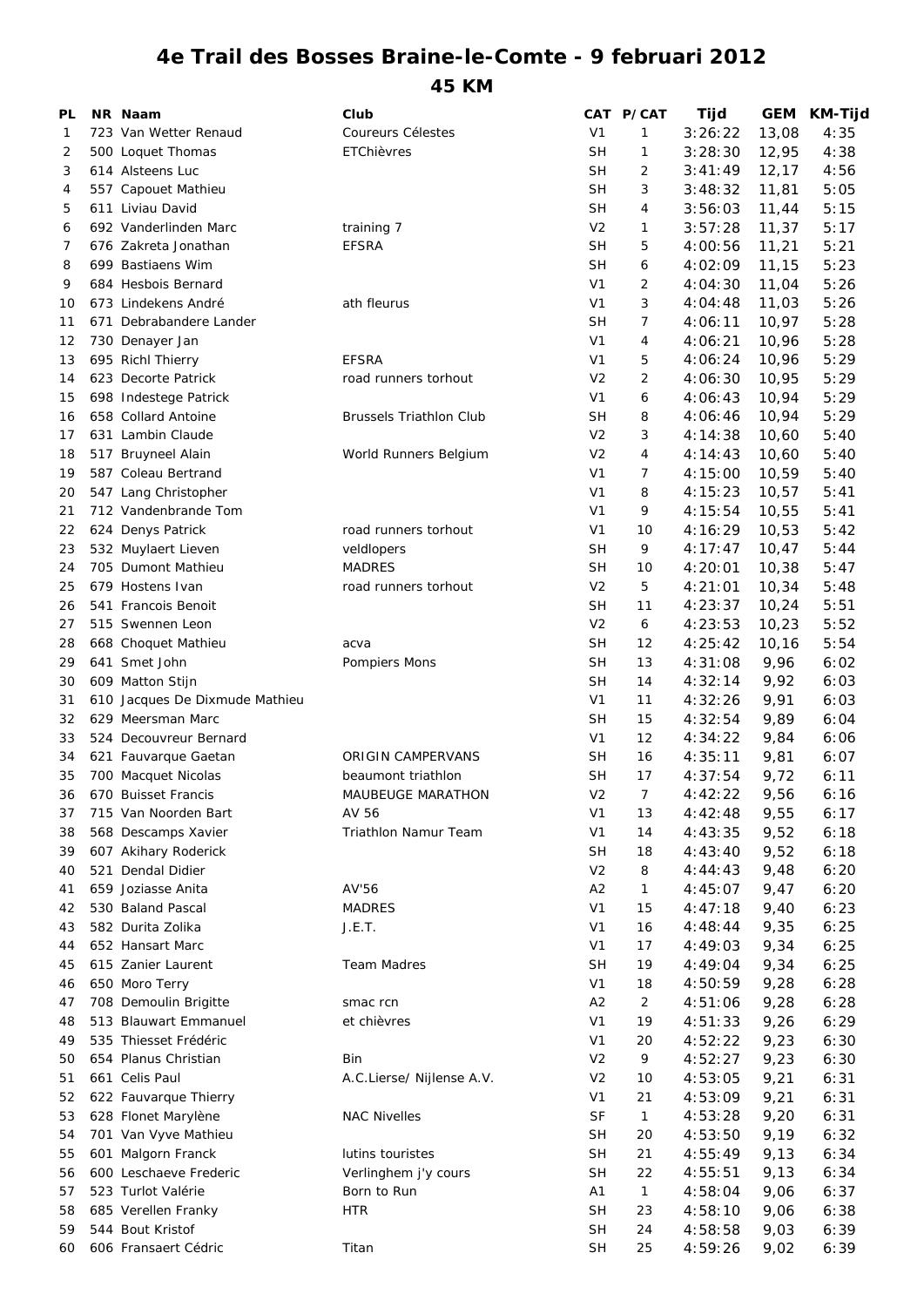## **4e Trail des Bosses Braine-le-Comte - 9 februari 2012**

**45 KM**

| PL |     | NR Naam                        | Club                           |                | CAT P/CAT      | Tijd    | <b>GEM</b> | <b>KM-Tijd</b> |
|----|-----|--------------------------------|--------------------------------|----------------|----------------|---------|------------|----------------|
| 1  |     | 723 Van Wetter Renaud          | Coureurs Célestes              | V <sub>1</sub> | 1              | 3:26:22 | 13,08      | 4:35           |
| 2  |     | 500 Loquet Thomas              | ETChièvres                     | <b>SH</b>      | 1              | 3:28:30 | 12,95      | 4:38           |
| 3  |     | 614 Alsteens Luc               |                                | <b>SH</b>      | $\overline{2}$ | 3:41:49 | 12, 17     | 4:56           |
| 4  |     | 557 Capouet Mathieu            |                                | <b>SH</b>      | 3              | 3:48:32 | 11,81      | 5:05           |
| 5  |     | 611 Liviau David               |                                | <b>SH</b>      | $\overline{4}$ | 3:56:03 | 11,44      | 5:15           |
| 6  |     | 692 Vanderlinden Marc          | training 7                     | V <sub>2</sub> | 1              | 3:57:28 | 11,37      | 5:17           |
| 7  |     | 676 Zakreta Jonathan           | <b>EFSRA</b>                   | <b>SH</b>      | 5              | 4:00:56 | 11,21      | 5:21           |
| 8  |     | 699 Bastiaens Wim              |                                | <b>SH</b>      | 6              | 4:02:09 | 11,15      | 5:23           |
| 9  |     | 684 Hesbois Bernard            |                                | V <sub>1</sub> | $\overline{2}$ | 4:04:30 | 11,04      | 5:26           |
| 10 |     | 673 Lindekens André            | ath fleurus                    | V <sub>1</sub> | 3              | 4:04:48 | 11,03      | 5:26           |
| 11 | 671 | Debrabandere Lander            |                                | <b>SH</b>      | 7              | 4:06:11 | 10,97      | 5:28           |
| 12 |     | 730 Denayer Jan                |                                | V <sub>1</sub> | $\overline{4}$ | 4:06:21 | 10,96      | 5:28           |
| 13 |     | 695 Richl Thierry              | <b>EFSRA</b>                   | V <sub>1</sub> | 5              | 4:06:24 | 10,96      | 5:29           |
| 14 |     | 623 Decorte Patrick            | road runners torhout           | V <sub>2</sub> | 2              | 4:06:30 | 10,95      | 5:29           |
| 15 |     | 698 Indestege Patrick          |                                | V <sub>1</sub> | 6              | 4:06:43 | 10,94      | 5:29           |
| 16 |     | 658 Collard Antoine            | <b>Brussels Triathlon Club</b> | SH             | 8              | 4:06:46 | 10,94      | 5:29           |
| 17 |     | 631 Lambin Claude              |                                | V <sub>2</sub> | 3              | 4:14:38 | 10,60      | 5:40           |
|    |     |                                |                                | V <sub>2</sub> |                |         |            |                |
| 18 |     | 517 Bruyneel Alain             | World Runners Belgium          |                | 4              | 4:14:43 | 10,60      | 5:40           |
| 19 |     | 587 Coleau Bertrand            |                                | V <sub>1</sub> | 7              | 4:15:00 | 10,59      | 5:40           |
| 20 |     | 547 Lang Christopher           |                                | V <sub>1</sub> | 8              | 4:15:23 | 10,57      | 5:41           |
| 21 |     | 712 Vandenbrande Tom           |                                | V <sub>1</sub> | 9              | 4:15:54 | 10,55      | 5:41           |
| 22 |     | 624 Denys Patrick              | road runners torhout           | V <sub>1</sub> | 10             | 4:16:29 | 10,53      | 5:42           |
| 23 |     | 532 Muylaert Lieven            | veldlopers                     | <b>SH</b>      | 9              | 4:17:47 | 10,47      | 5:44           |
| 24 |     | 705 Dumont Mathieu             | <b>MADRES</b>                  | <b>SH</b>      | 10             | 4:20:01 | 10,38      | 5:47           |
| 25 |     | 679 Hostens Ivan               | road runners torhout           | V <sub>2</sub> | 5              | 4:21:01 | 10,34      | 5:48           |
| 26 |     | 541 Francois Benoit            |                                | <b>SH</b>      | 11             | 4:23:37 | 10,24      | 5:51           |
| 27 |     | 515 Swennen Leon               |                                | V <sub>2</sub> | 6              | 4:23:53 | 10,23      | 5:52           |
| 28 |     | 668 Choquet Mathieu            | acva                           | <b>SH</b>      | 12             | 4:25:42 | 10,16      | 5:54           |
| 29 |     | 641 Smet John                  | Pompiers Mons                  | <b>SH</b>      | 13             | 4:31:08 | 9,96       | 6:02           |
| 30 |     | 609 Matton Stijn               |                                | <b>SH</b>      | 14             | 4:32:14 | 9,92       | 6:03           |
| 31 |     | 610 Jacques De Dixmude Mathieu |                                | V <sub>1</sub> | 11             | 4:32:26 | 9,91       | 6:03           |
| 32 |     | 629 Meersman Marc              |                                | <b>SH</b>      | 15             | 4:32:54 | 9,89       | 6:04           |
| 33 |     | 524 Decouvreur Bernard         |                                | V <sub>1</sub> | 12             | 4:34:22 | 9,84       | 6:06           |
| 34 |     | 621 Fauvarque Gaetan           | <b>ORIGIN CAMPERVANS</b>       | SH             | 16             | 4:35:11 | 9,81       | 6:07           |
| 35 |     | 700 Macquet Nicolas            | beaumont triathlon             | <b>SH</b>      | 17             | 4:37:54 | 9,72       | 6:11           |
| 36 |     | 670 Buisset Francis            | <b>MAUBEUGE MARATHON</b>       | V <sub>2</sub> | 7              | 4:42:22 | 9,56       | 6:16           |
| 37 |     | 715 Van Noorden Bart           | AV 56                          | V <sub>1</sub> | 13             | 4:42:48 | 9,55       | 6:17           |
| 38 |     | 568 Descamps Xavier            | <b>Triathlon Namur Team</b>    | V <sub>1</sub> | 14             | 4:43:35 | 9,52       | 6:18           |
| 39 |     | 607 Akihary Roderick           |                                | <b>SH</b>      | 18             | 4:43:40 | 9,52       | 6:18           |
| 40 |     | 521 Dendal Didier              |                                | V <sub>2</sub> | 8              | 4:44:43 | 9,48       | 6:20           |
| 41 |     | 659 Joziasse Anita             | AV'56                          | A2             | 1              | 4:45:07 | 9,47       | 6:20           |
| 42 |     | 530 Baland Pascal              | <b>MADRES</b>                  | V <sub>1</sub> | 15             | 4:47:18 | 9,40       | 6:23           |
| 43 |     | 582 Durita Zolika              | J.E.T.                         | V <sub>1</sub> | 16             | 4:48:44 | 9,35       | 6:25           |
|    |     | 652 Hansart Marc               |                                | V <sub>1</sub> | 17             | 4:49:03 | 9,34       | 6:25           |
| 44 |     |                                |                                |                |                |         |            |                |
| 45 |     | 615 Zanier Laurent             | <b>Team Madres</b>             | <b>SH</b>      | 19             | 4:49:04 | 9,34       | 6:25           |
| 46 |     | 650 Moro Terry                 |                                | V <sub>1</sub> | 18             | 4:50:59 | 9,28       | 6:28           |
| 47 |     | 708 Demoulin Brigitte          | smac rcn                       | A2             | $\overline{2}$ | 4:51:06 | 9,28       | 6:28           |
| 48 |     | 513 Blauwart Emmanuel          | et chièvres                    | V <sub>1</sub> | 19             | 4:51:33 | 9,26       | 6:29           |
| 49 |     | 535 Thiesset Frédéric          |                                | V <sub>1</sub> | 20             | 4:52:22 | 9,23       | 6:30           |
| 50 |     | 654 Planus Christian           | Bin                            | V <sub>2</sub> | 9              | 4:52:27 | 9,23       | 6:30           |
| 51 |     | 661 Celis Paul                 | A.C.Lierse/ Nijlense A.V.      | V <sub>2</sub> | 10             | 4:53:05 | 9,21       | 6:31           |
| 52 |     | 622 Fauvarque Thierry          |                                | V <sub>1</sub> | 21             | 4:53:09 | 9,21       | 6:31           |
| 53 |     | 628 Flonet Marylène            | <b>NAC Nivelles</b>            | <b>SF</b>      | $\mathbf{1}$   | 4:53:28 | 9,20       | 6:31           |
| 54 |     | 701 Van Vyve Mathieu           |                                | <b>SH</b>      | 20             | 4:53:50 | 9,19       | 6:32           |
| 55 |     | 601 Malgorn Franck             | lutins touristes               | <b>SH</b>      | 21             | 4:55:49 | 9,13       | 6:34           |
| 56 |     | 600 Leschaeve Frederic         | Verlinghem j'y cours           | <b>SH</b>      | 22             | 4:55:51 | 9,13       | 6:34           |
| 57 |     | 523 Turlot Valérie             | Born to Run                    | A1             | $\mathbf{1}$   | 4:58:04 | 9,06       | 6:37           |
| 58 |     | 685 Verellen Franky            | <b>HTR</b>                     | <b>SH</b>      | 23             | 4:58:10 | 9,06       | 6:38           |
| 59 |     | 544 Bout Kristof               |                                | <b>SH</b>      | 24             | 4:58:58 | 9,03       | 6:39           |
| 60 |     | 606 Fransaert Cédric           | Titan                          | <b>SH</b>      | 25             | 4:59:26 | 9,02       | 6:39           |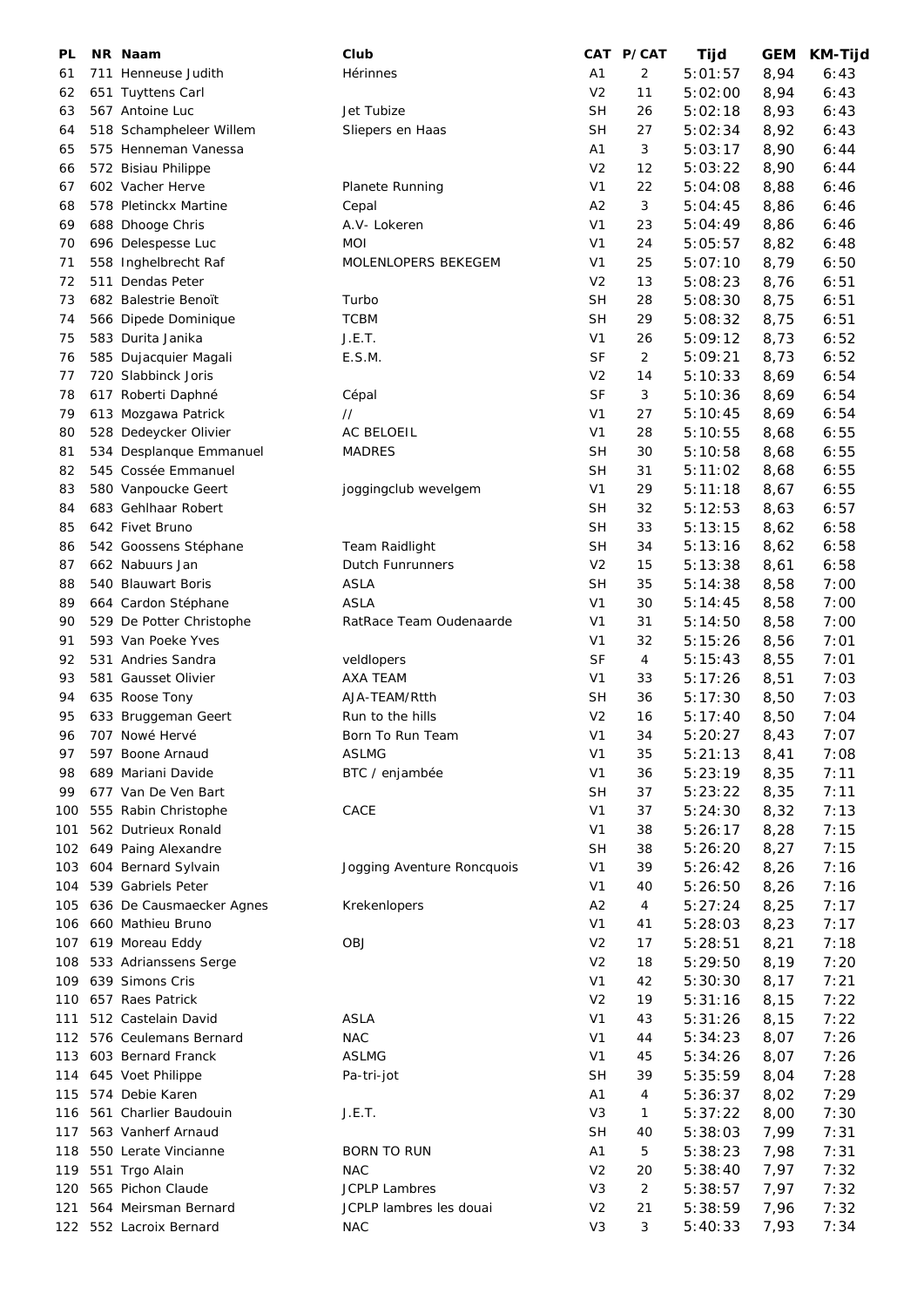| PL  | NR Naam                  | Club                       |                | CAT P/CAT | Tijd    | GEM  | KM-Tijd |
|-----|--------------------------|----------------------------|----------------|-----------|---------|------|---------|
| 61  | 711 Henneuse Judith      | Hérinnes                   | A1             | 2         | 5:01:57 | 8,94 | 6:43    |
| 62  | 651 Tuyttens Carl        |                            | V <sub>2</sub> | 11        | 5:02:00 | 8,94 | 6:43    |
| 63  | 567 Antoine Luc          | Jet Tubize                 | <b>SH</b>      | 26        | 5:02:18 | 8,93 | 6:43    |
| 64  | 518 Schampheleer Willem  | Sliepers en Haas           | <b>SH</b>      | 27        | 5:02:34 | 8,92 | 6:43    |
| 65  | 575 Henneman Vanessa     |                            | A1             | 3         | 5:03:17 | 8,90 | 6:44    |
| 66  | 572 Bisiau Philippe      |                            | V <sub>2</sub> | 12        | 5:03:22 | 8,90 | 6:44    |
| 67  | 602 Vacher Herve         |                            | V <sub>1</sub> | 22        |         |      |         |
|     |                          | Planete Running            |                |           | 5:04:08 | 8,88 | 6:46    |
| 68  | 578 Pletinckx Martine    | Cepal                      | A2             | 3         | 5:04:45 | 8,86 | 6:46    |
| 69  | 688 Dhooge Chris         | A.V- Lokeren               | V <sub>1</sub> | 23        | 5:04:49 | 8,86 | 6:46    |
| 70  | 696 Delespesse Luc       | <b>MOI</b>                 | V <sub>1</sub> | 24        | 5:05:57 | 8,82 | 6:48    |
| 71  | 558 Inghelbrecht Raf     | MOLENLOPERS BEKEGEM        | V <sub>1</sub> | 25        | 5:07:10 | 8,79 | 6:50    |
| 72  | 511 Dendas Peter         |                            | V <sub>2</sub> | 13        | 5:08:23 | 8,76 | 6:51    |
| 73  | 682 Balestrie Benoït     | Turbo                      | <b>SH</b>      | 28        | 5:08:30 | 8,75 | 6:51    |
| 74  | 566 Dipede Dominique     | <b>TCBM</b>                | <b>SH</b>      | 29        | 5:08:32 | 8,75 | 6:51    |
| 75  | 583 Durita Janika        | J.E.T.                     | V <sub>1</sub> | 26        | 5:09:12 | 8,73 | 6:52    |
| 76  | 585 Dujacquier Magali    | E.S.M.                     | <b>SF</b>      | 2         | 5:09:21 | 8,73 | 6:52    |
| 77  | 720 Slabbinck Joris      |                            | V <sub>2</sub> | 14        | 5:10:33 | 8,69 | 6:54    |
| 78  | 617 Roberti Daphné       | Cépal                      | <b>SF</b>      | 3         | 5:10:36 | 8,69 | 6:54    |
| 79  | 613 Mozgawa Patrick      | $^{\prime\prime}$          | V <sub>1</sub> | 27        | 5:10:45 | 8,69 | 6:54    |
| 80  | 528 Dedeycker Olivier    | AC BELOEIL                 | V <sub>1</sub> | 28        | 5:10:55 | 8,68 | 6:55    |
| 81  | 534 Desplanque Emmanuel  | <b>MADRES</b>              | <b>SH</b>      | 30        | 5:10:58 | 8,68 | 6:55    |
| 82  | 545 Cossée Emmanuel      |                            | <b>SH</b>      | 31        | 5:11:02 | 8,68 | 6:55    |
| 83  | 580 Vanpoucke Geert      | joggingclub wevelgem       | V <sub>1</sub> | 29        | 5:11:18 | 8,67 | 6:55    |
|     |                          |                            |                |           |         |      |         |
| 84  | 683 Gehlhaar Robert      |                            | SН             | 32        | 5:12:53 | 8,63 | 6:57    |
| 85  | 642 Fivet Bruno          |                            | <b>SH</b>      | 33        | 5:13:15 | 8,62 | 6:58    |
| 86  | 542 Goossens Stéphane    | Team Raidlight             | SН             | 34        | 5:13:16 | 8,62 | 6:58    |
| 87  | 662 Nabuurs Jan          | Dutch Funrunners           | V <sub>2</sub> | 15        | 5:13:38 | 8,61 | 6:58    |
| 88  | 540 Blauwart Boris       | <b>ASLA</b>                | <b>SH</b>      | 35        | 5:14:38 | 8,58 | 7:00    |
| 89  | 664 Cardon Stéphane      | <b>ASLA</b>                | V <sub>1</sub> | 30        | 5:14:45 | 8,58 | 7:00    |
| 90  | 529 De Potter Christophe | RatRace Team Oudenaarde    | V <sub>1</sub> | 31        | 5:14:50 | 8,58 | 7:00    |
| 91  | 593 Van Poeke Yves       |                            | V <sub>1</sub> | 32        | 5:15:26 | 8,56 | 7:01    |
| 92  | 531 Andries Sandra       | veldlopers                 | <b>SF</b>      | 4         | 5:15:43 | 8,55 | 7:01    |
| 93  | 581 Gausset Olivier      | <b>AXA TEAM</b>            | V <sub>1</sub> | 33        | 5:17:26 | 8,51 | 7:03    |
| 94  | 635 Roose Tony           | AJA-TEAM/Rtth              | <b>SH</b>      | 36        | 5:17:30 | 8,50 | 7:03    |
| 95  | 633 Bruggeman Geert      | Run to the hills           | V <sub>2</sub> | 16        | 5:17:40 | 8,50 | 7:04    |
| 96  | 707 Nowé Hervé           | Born To Run Team           | V <sub>1</sub> | 34        | 5:20:27 | 8,43 | 7:07    |
| 97  | 597 Boone Arnaud         | <b>ASLMG</b>               | V <sub>1</sub> | 35        | 5:21:13 | 8,41 | 7:08    |
| 98  | 689 Mariani Davide       | BTC / enjambée             | V <sub>1</sub> | 36        | 5:23:19 | 8,35 | 7:11    |
| 99  | 677 Van De Ven Bart      |                            | <b>SH</b>      | 37        | 5:23:22 | 8,35 | 7:11    |
| 100 | 555 Rabin Christophe     | CACE                       | V <sub>1</sub> | 37        | 5:24:30 | 8,32 | 7:13    |
|     |                          |                            |                |           |         |      |         |
| 101 | 562 Dutrieux Ronald      |                            | V <sub>1</sub> | 38        | 5:26:17 | 8,28 | 7:15    |
| 102 | 649 Paing Alexandre      |                            | <b>SH</b>      | 38        | 5:26:20 | 8,27 | 7:15    |
| 103 | 604 Bernard Sylvain      | Jogging Aventure Roncquois | V <sub>1</sub> | 39        | 5:26:42 | 8,26 | 7:16    |
| 104 | 539 Gabriels Peter       |                            | V <sub>1</sub> | 40        | 5:26:50 | 8,26 | 7:16    |
| 105 | 636 De Causmaecker Agnes | Krekenlopers               | A2             | 4         | 5:27:24 | 8,25 | 7:17    |
| 106 | 660 Mathieu Bruno        |                            | V <sub>1</sub> | 41        | 5:28:03 | 8,23 | 7:17    |
| 107 | 619 Moreau Eddy          | <b>OBJ</b>                 | V <sub>2</sub> | 17        | 5:28:51 | 8,21 | 7:18    |
| 108 | 533 Adrianssens Serge    |                            | V <sub>2</sub> | 18        | 5:29:50 | 8,19 | 7:20    |
| 109 | 639 Simons Cris          |                            | V <sub>1</sub> | 42        | 5:30:30 | 8,17 | 7:21    |
| 110 | 657 Raes Patrick         |                            | V <sub>2</sub> | 19        | 5:31:16 | 8,15 | 7:22    |
| 111 | 512 Castelain David      | <b>ASLA</b>                | V <sub>1</sub> | 43        | 5:31:26 | 8,15 | 7:22    |
| 112 | 576 Ceulemans Bernard    | <b>NAC</b>                 | V <sub>1</sub> | 44        | 5:34:23 | 8,07 | 7:26    |
| 113 | 603 Bernard Franck       | <b>ASLMG</b>               | V <sub>1</sub> | 45        | 5:34:26 | 8,07 | 7:26    |
| 114 | 645 Voet Philippe        | Pa-tri-jot                 | SH             | 39        | 5:35:59 | 8,04 | 7:28    |
| 115 | 574 Debie Karen          |                            | A1             | 4         | 5:36:37 | 8,02 | 7:29    |
| 116 | 561 Charlier Baudouin    | J.E.T.                     | V <sub>3</sub> | 1         | 5:37:22 | 8,00 | 7:30    |
|     | 563 Vanherf Arnaud       |                            | <b>SH</b>      |           |         |      |         |
| 117 |                          |                            |                | 40        | 5:38:03 | 7,99 | 7:31    |
| 118 | 550 Lerate Vincianne     | <b>BORN TO RUN</b>         | A1             | 5         | 5:38:23 | 7,98 | 7:31    |
| 119 | 551 Trgo Alain           | <b>NAC</b>                 | V <sub>2</sub> | 20        | 5:38:40 | 7,97 | 7:32    |
| 120 | 565 Pichon Claude        | <b>JCPLP Lambres</b>       | V <sub>3</sub> | 2         | 5:38:57 | 7,97 | 7:32    |
| 121 | 564 Meirsman Bernard     | JCPLP lambres les douai    | V <sub>2</sub> | 21        | 5:38:59 | 7,96 | 7:32    |
|     | 122 552 Lacroix Bernard  | <b>NAC</b>                 | V <sub>3</sub> | 3         | 5:40:33 | 7,93 | 7:34    |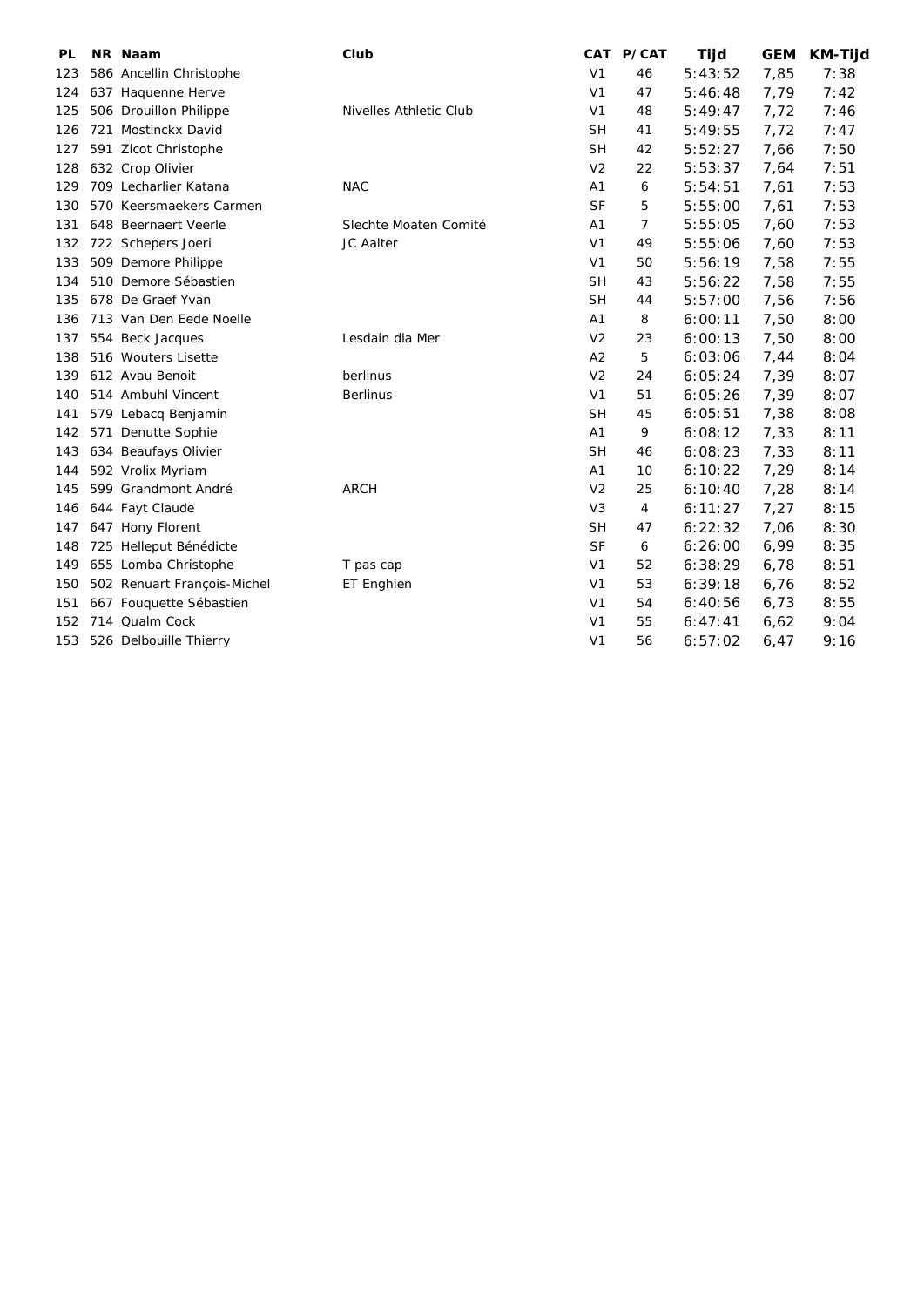| PL  | NR Naam                     | Club                   |                | CAT P/CAT | Tijd    | <b>GEM</b> | <b>KM-Tijd</b> |
|-----|-----------------------------|------------------------|----------------|-----------|---------|------------|----------------|
| 123 | 586 Ancellin Christophe     |                        | V <sub>1</sub> | 46        | 5:43:52 | 7,85       | 7:38           |
| 124 | 637 Haquenne Herve          |                        | V <sub>1</sub> | 47        | 5:46:48 | 7,79       | 7:42           |
| 125 | 506 Drouillon Philippe      | Nivelles Athletic Club | V <sub>1</sub> | 48        | 5:49:47 | 7,72       | 7:46           |
| 126 | 721 Mostinckx David         |                        | <b>SH</b>      | 41        | 5:49:55 | 7,72       | 7:47           |
| 127 | 591 Zicot Christophe        |                        | <b>SH</b>      | 42        | 5:52:27 | 7,66       | 7:50           |
| 128 | 632 Crop Olivier            |                        | V <sub>2</sub> | 22        | 5:53:37 | 7,64       | 7:51           |
| 129 | 709 Lecharlier Katana       | <b>NAC</b>             | A <sub>1</sub> | 6         | 5:54:51 | 7,61       | 7:53           |
| 130 | 570 Keersmaekers Carmen     |                        | <b>SF</b>      | 5         | 5:55:00 | 7,61       | 7:53           |
| 131 | 648 Beernaert Veerle        | Slechte Moaten Comité  | A1             | 7         | 5:55:05 | 7,60       | 7:53           |
| 132 | 722 Schepers Joeri          | JC Aalter              | V <sub>1</sub> | 49        | 5:55:06 | 7,60       | 7:53           |
| 133 | 509 Demore Philippe         |                        | V <sub>1</sub> | 50        | 5:56:19 | 7,58       | 7:55           |
| 134 | 510 Demore Sébastien        |                        | <b>SH</b>      | 43        | 5:56:22 | 7,58       | 7:55           |
| 135 | 678 De Graef Yvan           |                        | <b>SH</b>      | 44        | 5:57:00 | 7,56       | 7:56           |
| 136 | 713 Van Den Eede Noelle     |                        | A1             | 8         | 6:00:11 | 7,50       | 8:00           |
| 137 | 554 Beck Jacques            | Lesdain dla Mer        | V <sub>2</sub> | 23        | 6:00:13 | 7,50       | 8:00           |
| 138 | 516 Wouters Lisette         |                        | A2             | 5         | 6:03:06 | 7,44       | 8:04           |
| 139 | 612 Avau Benoit             | berlinus               | V <sub>2</sub> | 24        | 6:05:24 | 7,39       | 8:07           |
| 140 | 514 Ambuhl Vincent          | <b>Berlinus</b>        | V <sub>1</sub> | 51        | 6:05:26 | 7,39       | 8:07           |
| 141 | 579 Lebacq Benjamin         |                        | <b>SH</b>      | 45        | 6:05:51 | 7,38       | 8:08           |
| 142 | 571 Denutte Sophie          |                        | A <sub>1</sub> | 9         | 6:08:12 | 7,33       | 8:11           |
| 143 | 634 Beaufays Olivier        |                        | <b>SH</b>      | 46        | 6:08:23 | 7,33       | 8:11           |
| 144 | 592 Vrolix Myriam           |                        | A1             | 10        | 6:10:22 | 7,29       | 8:14           |
| 145 | 599 Grandmont André         | <b>ARCH</b>            | V <sub>2</sub> | 25        | 6:10:40 | 7,28       | 8:14           |
| 146 | 644 Fayt Claude             |                        | V <sub>3</sub> | 4         | 6:11:27 | 7,27       | 8:15           |
| 147 | 647 Hony Florent            |                        | <b>SH</b>      | 47        | 6:22:32 | 7,06       | 8:30           |
| 148 | 725 Helleput Bénédicte      |                        | <b>SF</b>      | 6         | 6:26:00 | 6,99       | 8:35           |
| 149 | 655 Lomba Christophe        | T pas cap              | V <sub>1</sub> | 52        | 6:38:29 | 6,78       | 8:51           |
| 150 | 502 Renuart François-Michel | ET Enghien             | V <sub>1</sub> | 53        | 6:39:18 | 6,76       | 8:52           |
| 151 | 667 Fouquette Sébastien     |                        | V <sub>1</sub> | 54        | 6:40:56 | 6,73       | 8:55           |
| 152 | 714 Qualm Cock              |                        | V <sub>1</sub> | 55        | 6:47:41 | 6,62       | 9:04           |
| 153 | 526 Delbouille Thierry      |                        | V <sub>1</sub> | 56        | 6:57:02 | 6.47       | 9:16           |